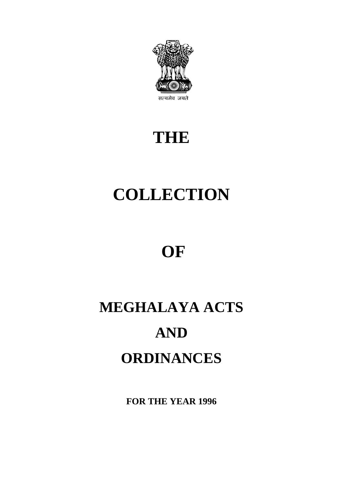

## **THE**

# **COLLECTION**

## **OF**

# **MEGHALAYA ACTS AND ORDINANCES**

**FOR THE YEAR 1996**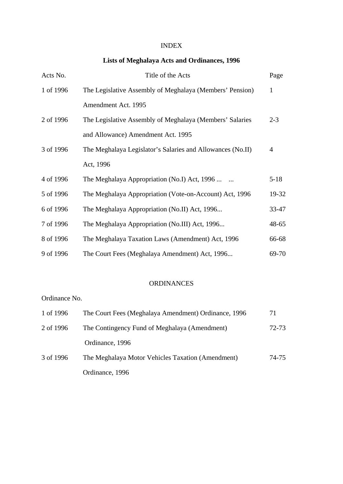## INDEX

## **Lists of Meghalaya Acts and Ordinances, 1996**

| Acts No.  | Title of the Acts                                          | Page         |
|-----------|------------------------------------------------------------|--------------|
| 1 of 1996 | The Legislative Assembly of Meghalaya (Members' Pension)   | $\mathbf{1}$ |
|           | Amendment Act. 1995                                        |              |
| 2 of 1996 | The Legislative Assembly of Meghalaya (Members' Salaries   | $2 - 3$      |
|           | and Allowance) Amendment Act. 1995                         |              |
| 3 of 1996 | The Meghalaya Legislator's Salaries and Allowances (No.II) | 4            |
|           | Act, 1996                                                  |              |
| 4 of 1996 | The Meghalaya Appropriation (No.I) Act, 1996               | $5 - 18$     |
| 5 of 1996 | The Meghalaya Appropriation (Vote-on-Account) Act, 1996    | 19-32        |
| 6 of 1996 | The Meghalaya Appropriation (No.II) Act, 1996              | 33-47        |
| 7 of 1996 | The Meghalaya Appropriation (No.III) Act, 1996             | 48-65        |
| 8 of 1996 | The Meghalaya Taxation Laws (Amendment) Act, 1996          | 66-68        |
| 9 of 1996 | The Court Fees (Meghalaya Amendment) Act, 1996             | 69-70        |

#### ORDINANCES

### Ordinance No.

| 1 of 1996 | The Court Fees (Meghalaya Amendment) Ordinance, 1996 | 71    |
|-----------|------------------------------------------------------|-------|
| 2 of 1996 | The Contingency Fund of Meghalaya (Amendment)        | 72-73 |
|           | Ordinance, 1996                                      |       |
| 3 of 1996 | The Meghalaya Motor Vehicles Taxation (Amendment)    | 74-75 |
|           | Ordinance, 1996                                      |       |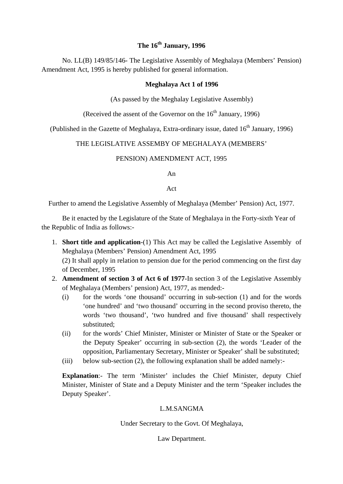#### **The 16th January, 1996**

No. LL(B) 149/85/146- The Legislative Assembly of Meghalaya (Members' Pension) Amendment Act, 1995 is hereby published for general information.

#### **Meghalaya Act 1 of 1996**

(As passed by the Meghalay Legislative Assembly)

(Received the assent of the Governor on the  $16<sup>th</sup>$  January, 1996)

(Published in the Gazette of Meghalaya, Extra-ordinary issue, dated  $16<sup>th</sup>$  January, 1996)

#### THE LEGISLATIVE ASSEMBY OF MEGHALAYA (MEMBERS'

#### PENSION) AMENDMENT ACT, 1995

An

Act

Further to amend the Legislative Assembly of Meghalaya (Member' Pension) Act, 1977.

Be it enacted by the Legislature of the State of Meghalaya in the Forty-sixth Year of the Republic of India as follows:-

- 1. **Short title and application**-(1) This Act may be called the Legislative Assembly of Meghalaya (Members' Pension) Amendment Act, 1995 (2) It shall apply in relation to pension due for the period commencing on the first day of December, 1995
- 2. **Amendment of section 3 of Act 6 of 1977**-In section 3 of the Legislative Assembly of Meghalaya (Members' pension) Act, 1977, as mended:-
	- (i) for the words 'one thousand' occurring in sub-section (1) and for the words 'one hundred' and 'two thousand' occurring in the second proviso thereto, the words 'two thousand', 'two hundred and five thousand' shall respectively substituted;
	- (ii) for the words' Chief Minister, Minister or Minister of State or the Speaker or the Deputy Speaker' occurring in sub-section (2), the words 'Leader of the opposition, Parliamentary Secretary, Minister or Speaker' shall be substituted;
	- (iii) below sub-section (2), the following explanation shall be added namely:-

**Explanation**:- The term 'Minister' includes the Chief Minister, deputy Chief Minister, Minister of State and a Deputy Minister and the term 'Speaker includes the Deputy Speaker'.

#### L.M.SANGMA

Under Secretary to the Govt. Of Meghalaya,

#### Law Department.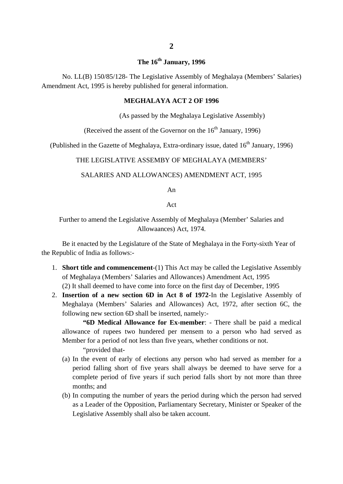### **The 16th January, 1996**

No. LL(B) 150/85/128- The Legislative Assembly of Meghalaya (Members' Salaries) Amendment Act, 1995 is hereby published for general information.

#### **MEGHALAYA ACT 2 OF 1996**

(As passed by the Meghalaya Legislative Assembly)

(Received the assent of the Governor on the  $16<sup>th</sup>$  January, 1996)

(Published in the Gazette of Meghalaya, Extra-ordinary issue, dated  $16<sup>th</sup>$  January, 1996)

#### THE LEGISLATIVE ASSEMBY OF MEGHALAYA (MEMBERS'

#### SALARIES AND ALLOWANCES) AMENDMENT ACT, 1995

An

#### Act

Further to amend the Legislative Assembly of Meghalaya (Member' Salaries and Allowaances) Act, 1974.

Be it enacted by the Legislature of the State of Meghalaya in the Forty-sixth Year of the Republic of India as follows:-

- 1. **Short title and commencement**-(1) This Act may be called the Legislative Assembly of Meghalaya (Members' Salaries and Allowances) Amendment Act, 1995 (2) It shall deemed to have come into force on the first day of December, 1995
- 2. **Insertion of a new section 6D in Act 8 of 1972**-In the Legislative Assembly of Meghalaya (Members' Salaries and Allowances) Act, 1972, after section 6C, the following new section 6D shall be inserted, namely:-

**"6D Medical Allowance for Ex-member**: - There shall be paid a medical allowance of rupees two hundered per mensem to a person who had served as Member for a period of not less than five years, whether conditions or not.

"provided that-

- (a) In the event of early of elections any person who had served as member for a period falling short of five years shall always be deemed to have serve for a complete period of five years if such period falls short by not more than three months; and
- (b) In computing the number of years the period during which the person had served as a Leader of the Opposition, Parliamentary Secretary, Minister or Speaker of the Legislative Assembly shall also be taken account.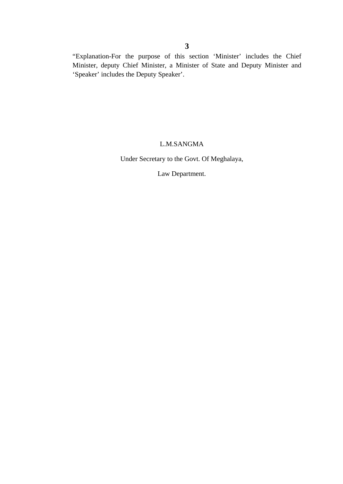"Explanation-For the purpose of this section 'Minister' includes the Chief Minister, deputy Chief Minister, a Minister of State and Deputy Minister and 'Speaker' includes the Deputy Speaker'.

#### L.M.SANGMA

Under Secretary to the Govt. Of Meghalaya,

Law Department.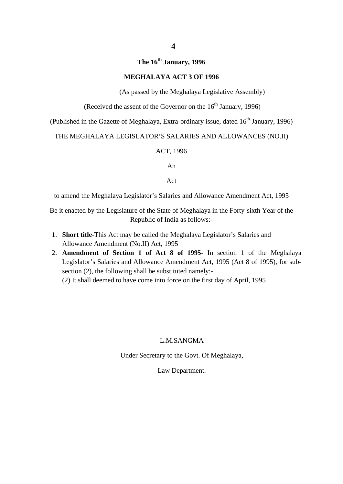## **The 16th January, 1996**

#### **MEGHALAYA ACT 3 OF 1996**

(As passed by the Meghalaya Legislative Assembly)

(Received the assent of the Governor on the  $16<sup>th</sup>$  January, 1996)

(Published in the Gazette of Meghalaya, Extra-ordinary issue, dated 16<sup>th</sup> January, 1996)

#### THE MEGHALAYA LEGISLATOR'S SALARIES AND ALLOWANCES (NO.II)

#### ACT, 1996

An

Act

to amend the Meghalaya Legislator's Salaries and Allowance Amendment Act, 1995

Be it enacted by the Legislature of the State of Meghalaya in the Forty-sixth Year of the Republic of India as follows:-

- 1. **Short title**-This Act may be called the Meghalaya Legislator's Salaries and Allowance Amendment (No.II) Act, 1995
- 2. **Amendment of Section 1 of Act 8 of 1995** In section 1 of the Meghalaya Legislator's Salaries and Allowance Amendment Act, 1995 (Act 8 of 1995), for subsection (2), the following shall be substituted namely:-

(2) It shall deemed to have come into force on the first day of April, 1995

#### L.M.SANGMA

Under Secretary to the Govt. Of Meghalaya,

Law Department.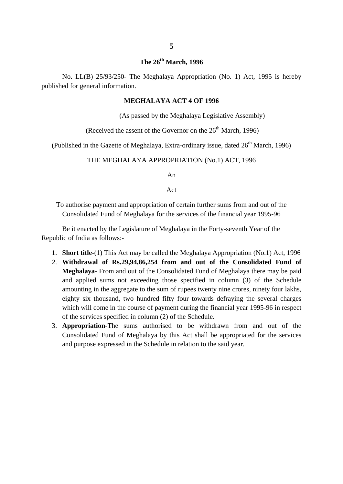### **The 26th March, 1996**

No. LL(B) 25/93/250- The Meghalaya Appropriation (No. 1) Act, 1995 is hereby published for general information.

#### **MEGHALAYA ACT 4 OF 1996**

(As passed by the Meghalaya Legislative Assembly)

(Received the assent of the Governor on the  $26<sup>th</sup>$  March, 1996)

(Published in the Gazette of Meghalaya, Extra-ordinary issue, dated  $26<sup>th</sup>$  March, 1996)

#### THE MEGHALAYA APPROPRIATION (No.1) ACT, 1996

An

Act

To authorise payment and appropriation of certain further sums from and out of the Consolidated Fund of Meghalaya for the services of the financial year 1995-96

Be it enacted by the Legislature of Meghalaya in the Forty-seventh Year of the Republic of India as follows:-

- 1. **Short title**-(1) This Act may be called the Meghalaya Appropriation (No.1) Act, 1996
- 2. **Withdrawal of Rs.29,94,86,254 from and out of the Consolidated Fund of Meghalaya**- From and out of the Consolidated Fund of Meghalaya there may be paid and applied sums not exceeding those specified in column (3) of the Schedule amounting in the aggregate to the sum of rupees twenty nine crores, ninety four lakhs, eighty six thousand, two hundred fifty four towards defraying the several charges which will come in the course of payment during the financial year 1995-96 in respect of the services specified in column (2) of the Schedule.
- 3. **Appropriation**-The sums authorised to be withdrawn from and out of the Consolidated Fund of Meghalaya by this Act shall be appropriated for the services and purpose expressed in the Schedule in relation to the said year.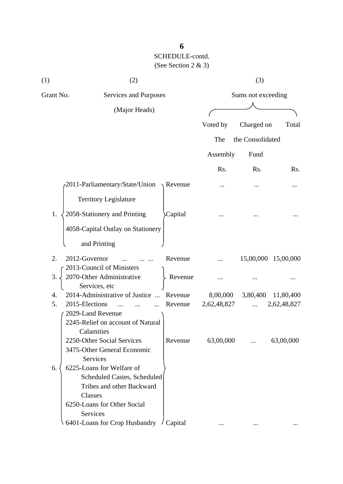| (1)       | (2)                                                                                                                                         |                    |                         | (3)                |                          |
|-----------|---------------------------------------------------------------------------------------------------------------------------------------------|--------------------|-------------------------|--------------------|--------------------------|
| Grant No. | Services and Purposes                                                                                                                       |                    |                         | Sums not exceeding |                          |
|           | (Major Heads)                                                                                                                               |                    |                         |                    |                          |
|           |                                                                                                                                             |                    | Voted by                | Charged on         | Total                    |
|           |                                                                                                                                             |                    | The                     | the Consolidated   |                          |
|           |                                                                                                                                             |                    | Assembly                | Fund               |                          |
|           |                                                                                                                                             |                    | Rs.                     | Rs.                | Rs.                      |
|           | 2011-Parliamentary/State/Union                                                                                                              | Revenue            |                         |                    |                          |
|           | <b>Territory Legislature</b>                                                                                                                |                    |                         |                    |                          |
| 1.        | 2058-Stationery and Printing                                                                                                                | Capital            |                         |                    |                          |
|           | 4058-Capital Outlay on Stationery                                                                                                           |                    |                         |                    |                          |
|           | and Printing                                                                                                                                |                    |                         |                    |                          |
| 2.        | 2012-Governor                                                                                                                               | Revenue            |                         |                    | 15,00,000 15,00,000      |
| 3.        | 2013-Council of Ministers<br>2070-Other Administrative<br>Services, etc                                                                     | Revenue            |                         |                    |                          |
| 4.<br>5.  | 2014-Administrative of Justice<br>2015-Elections                                                                                            | Revenue<br>Revenue | 8,00,000<br>2,62,48,827 | 3,80,400           | 11,80,400<br>2,62,48,827 |
|           | 2029-Land Revenue<br>2245-Relief on account of Natural<br>Calamities                                                                        |                    |                         |                    |                          |
|           | 2250-Other Social Services<br>3475-Other General Economic<br>Services                                                                       | Revenue            | 63,00,000               |                    | 63,00,000                |
| 6.        | 6225-Loans for Welfare of<br>Scheduled Castes, Scheduled<br>Tribes and other Backward<br>Classes<br>6250-Loans for Other Social<br>Services |                    |                         |                    |                          |
|           | 6401-Loans for Crop Husbandry                                                                                                               | Capital            |                         |                    |                          |

## **6**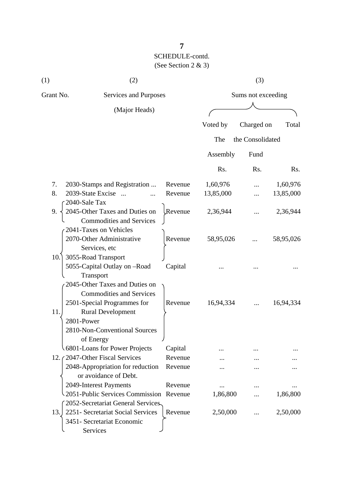| (1)                 | (2)                                                                            |         | (3)       |                    |           |
|---------------------|--------------------------------------------------------------------------------|---------|-----------|--------------------|-----------|
| Grant No.           | Services and Purposes                                                          |         |           | Sums not exceeding |           |
|                     | (Major Heads)                                                                  |         |           |                    |           |
|                     |                                                                                |         | Voted by  | Charged on         | Total     |
|                     |                                                                                |         | The       | the Consolidated   |           |
|                     |                                                                                |         | Assembly  | Fund               |           |
|                     |                                                                                |         | Rs.       | Rs.                | Rs.       |
| 7.                  | 2030-Stamps and Registration                                                   | Revenue | 1,60,976  |                    | 1,60,976  |
| 8.<br>2040-Sale Tax | 2039-State Excise                                                              | Revenue | 13,85,000 |                    | 13,85,000 |
| 9.                  | 2045-Other Taxes and Duties on<br><b>Commodities and Services</b>              | Revenue | 2,36,944  |                    | 2,36,944  |
|                     | 2041-Taxes on Vehicles<br>2070-Other Administrative<br>Services, etc           | Revenue | 58,95,026 |                    | 58,95,026 |
| 10.                 | 3055-Road Transport<br>5055-Capital Outlay on -Road                            | Capital |           |                    |           |
|                     | Transport<br>2045-Other Taxes and Duties on<br><b>Commodities and Services</b> |         |           |                    |           |
| 11.                 | 2501-Special Programmes for<br><b>Rural Development</b>                        | Revenue | 16,94,334 |                    | 16,94,334 |
| 2801-Power          | 2810-Non-Conventional Sources<br>of Energy                                     |         |           |                    |           |
|                     | 6801-Loans for Power Projects                                                  | Capital |           |                    |           |
|                     | 12. (2047-Other Fiscal Services                                                | Revenue |           |                    |           |
|                     | 2048-Appropriation for reduction<br>or avoidance of Debt.                      | Revenue |           |                    |           |

2049-Interest Payments Revenue ... ... ... ... ... ... ...  $\begin{matrix} 2051-Public Services Commission Revenue 1,86,800 ... 1,86,800 \end{matrix}$  ... 1,86,800

13. 2251 - Secretariat Social Services Revenue 2,50,000 ... 2,50,000

2052-Secretariat General Services

3451- Secretariat Economic

Services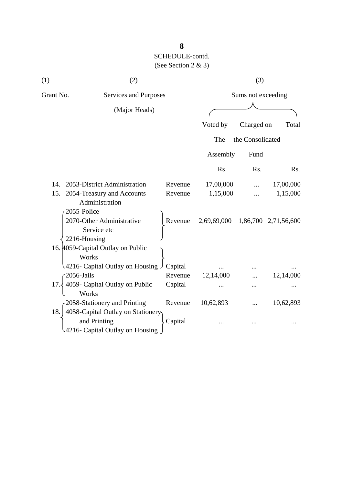| (1)                                | (2)                                             |         |                    | (3)              |                      |
|------------------------------------|-------------------------------------------------|---------|--------------------|------------------|----------------------|
| Grant No.<br>Services and Purposes |                                                 |         | Sums not exceeding |                  |                      |
|                                    | (Major Heads)                                   |         |                    |                  |                      |
|                                    |                                                 |         | Voted by           | Charged on       | Total                |
|                                    |                                                 |         | The                | the Consolidated |                      |
|                                    |                                                 |         | Assembly           | Fund             |                      |
|                                    |                                                 |         | Rs.                | Rs.              | Rs.                  |
| 14.                                | 2053-District Administration                    | Revenue | 17,00,000          |                  | 17,00,000            |
| 15.                                | 2054-Treasury and Accounts<br>Administration    | Revenue | 1,15,000           |                  | 1,15,000             |
|                                    | 2055-Police                                     |         |                    |                  |                      |
|                                    | 2070-Other Administrative<br>Service etc        | Revenue | 2,69,69,000        |                  | 1,86,700 2,71,56,600 |
|                                    | 2216-Housing                                    |         |                    |                  |                      |
|                                    | 16. 4059-Capital Outlay on Public<br>Works      |         |                    |                  |                      |
|                                    | لـ 4216- Capital Outlay on Housing              | Capital |                    |                  |                      |
|                                    | 2056-Jails                                      | Revenue | 12,14,000          |                  | 12,14,000            |
| 17.                                | 4059- Capital Outlay on Public<br>Works         | Capital |                    |                  |                      |
|                                    | 2058-Stationery and Printing                    | Revenue | 10,62,893          |                  | 10,62,893            |
| 18.                                | 4058-Capital Outlay on Stationery               |         |                    |                  |                      |
|                                    | and Printing<br>4216- Capital Outlay on Housing | Capital |                    |                  |                      |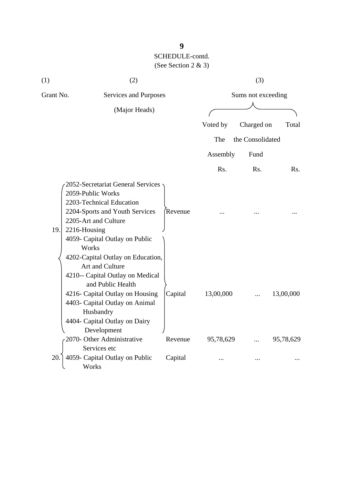| (1)       | (2)                                                                                                                                                                                                                                          |         | (3)       |                    |           |
|-----------|----------------------------------------------------------------------------------------------------------------------------------------------------------------------------------------------------------------------------------------------|---------|-----------|--------------------|-----------|
| Grant No. | Services and Purposes                                                                                                                                                                                                                        |         |           | Sums not exceeding |           |
|           | (Major Heads)                                                                                                                                                                                                                                |         |           |                    |           |
|           |                                                                                                                                                                                                                                              |         | Voted by  | Charged on         | Total     |
|           |                                                                                                                                                                                                                                              |         | The       | the Consolidated   |           |
|           |                                                                                                                                                                                                                                              |         | Assembly  | Fund               |           |
|           |                                                                                                                                                                                                                                              |         | Rs.       | R <sub>s</sub> .   | Rs.       |
| 19.       | 2052-Secretariat General Services<br>2059-Public Works<br>2203-Technical Education<br>2204-Sports and Youth Services<br>2205-Art and Culture<br>2216-Housing<br>4059- Capital Outlay on Public<br>Works<br>4202-Capital Outlay on Education, | Revenue |           |                    |           |
|           | Art and Culture<br>4210-- Capital Outlay on Medical<br>and Public Health<br>4216- Capital Outlay on Housing<br>4403- Capital Outlay on Animal<br>Husbandry<br>4404- Capital Outlay on Dairy<br>Development                                   | Capital | 13,00,000 |                    | 13,00,000 |
|           | 2070- Other Administrative                                                                                                                                                                                                                   | Revenue | 95,78,629 |                    | 95,78,629 |
| 20.       | Services etc<br>4059- Capital Outlay on Public<br>Works                                                                                                                                                                                      | Capital |           |                    |           |

## **9**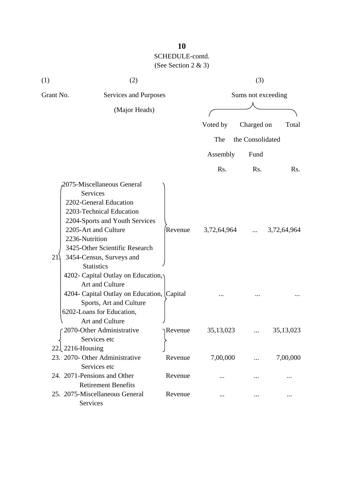| (1)       | (2)                                                                                                                                                                                                                           |          | (3)         |                    |             |
|-----------|-------------------------------------------------------------------------------------------------------------------------------------------------------------------------------------------------------------------------------|----------|-------------|--------------------|-------------|
| Grant No. | Services and Purposes                                                                                                                                                                                                         |          |             | Sums not exceeding |             |
|           | (Major Heads)                                                                                                                                                                                                                 |          |             |                    |             |
|           |                                                                                                                                                                                                                               |          | Voted by    | Charged on         | Total       |
|           |                                                                                                                                                                                                                               |          | The         | the Consolidated   |             |
|           |                                                                                                                                                                                                                               |          |             |                    |             |
|           |                                                                                                                                                                                                                               |          | Assembly    | Fund               |             |
|           |                                                                                                                                                                                                                               |          | Rs.         | Rs.                | Rs.         |
|           | 2075-Miscellaneous General                                                                                                                                                                                                    |          |             |                    |             |
| 21        | Services<br>2202-General Education<br>2203-Technical Education<br>2204-Sports and Youth Services<br>2205-Art and Culture<br>2236-Nutrition<br>3425-Other Scientific Research<br>3454-Census, Surveys and<br><b>Statistics</b> | Revenue  | 3,72,64,964 | $\ddotsc$          | 3,72,64,964 |
|           | 4202- Capital Outlay on Education,<br>Art and Culture<br>4204- Capital Outlay on Education, Capital<br>Sports, Art and Culture<br>6202-Loans for Education,                                                                   |          |             |                    |             |
|           | Art and Culture<br>r 2070-Other Administrative<br>Services etc                                                                                                                                                                | ↑Revenue | 35, 13, 023 |                    | 35, 13, 023 |
| 22.       | $2216$ -Housing<br>23. 2070- Other Administrative<br>Services etc                                                                                                                                                             | Revenue  | 7,00,000    |                    | 7,00,000    |
|           | 24. 2071-Pensions and Other<br><b>Retirement Benefits</b>                                                                                                                                                                     | Revenue  |             |                    |             |
|           | 25. 2075-Miscellaneous General<br>Services                                                                                                                                                                                    | Revenue  |             |                    |             |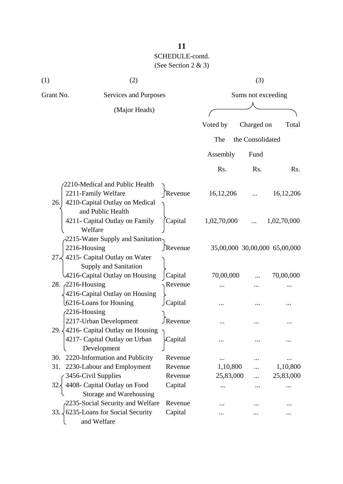| (1)       | (2)                                                |                    | (3)         |                    |                               |
|-----------|----------------------------------------------------|--------------------|-------------|--------------------|-------------------------------|
| Grant No. | Services and Purposes                              |                    |             | Sums not exceeding |                               |
|           | (Major Heads)                                      |                    |             |                    |                               |
|           |                                                    |                    | Voted by    | Charged on         | Total                         |
|           |                                                    |                    | The         | the Consolidated   |                               |
|           |                                                    |                    | Assembly    | Fund               |                               |
|           |                                                    |                    | Rs.         | Rs.                | Rs.                           |
|           | 2210-Medical and Public Health                     |                    |             |                    |                               |
|           | 2211-Family Welfare                                | Revenue            | 16, 12, 206 |                    | 16, 12, 206                   |
| 26.       | 4210-Capital Outlay on Medical                     |                    |             |                    |                               |
|           | and Public Health                                  |                    |             |                    |                               |
|           | 4211- Capital Outlay on Family                     | Capital            | 1,02,70,000 |                    | 1,02,70,000                   |
|           | Welfare                                            |                    |             |                    |                               |
|           | -2215-Water Supply and Sanitation-                 |                    |             |                    |                               |
|           | 2216-Housing                                       | ∫Revenue           |             |                    | 35,00,000 30,00,000 65,00,000 |
| 27<       | 4215- Capital Outlay on Water                      |                    |             |                    |                               |
|           | Supply and Sanitation                              |                    |             |                    |                               |
|           | 4216-Capital Outlay on Housing<br>28. 2216-Housing | Capital<br>Revenue | 70,00,000   |                    | 70,00,000                     |
|           | 4216-Capital Outlay on Housing                     |                    |             |                    |                               |
|           | 6216-Loans for Housing                             | Capital            |             |                    |                               |
|           | $\sqrt{2216}$ -Housing                             |                    |             |                    |                               |
|           | 2217-Urban Development                             | ∫Revenue           |             |                    |                               |
|           | 29. $\sqrt{4216}$ - Capital Outlay on Housing      |                    |             |                    |                               |
|           | 4217- Capital Outlay on Urban                      | Capital            |             |                    |                               |
|           | Development                                        |                    |             |                    |                               |
| 30.       | 2220-Information and Publicity                     | Revenue            |             |                    |                               |
| 31.       | 2230-Labour and Employment                         | Revenue            | 1,10,800    |                    | 1,10,800                      |
|           | 3456-Civil Supplies                                | Revenue            | 25,83,000   |                    | 25,83,000                     |
| 32        | 4408- Capital Outlay on Food                       | Capital            | $\cdots$    |                    |                               |
|           | Storage and Warehousing                            |                    |             |                    |                               |
|           | 2235-Social Security and Welfare                   | Revenue            |             |                    |                               |
| 33.4      | 6235-Loans for Social Security                     | Capital            |             |                    |                               |
|           | and Welfare                                        |                    |             |                    |                               |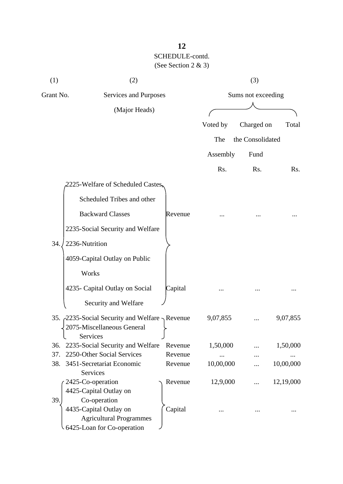| (1)       | (2)                                                                                    |         |           | (3)                |           |
|-----------|----------------------------------------------------------------------------------------|---------|-----------|--------------------|-----------|
| Grant No. | Services and Purposes                                                                  |         |           | Sums not exceeding |           |
|           | (Major Heads)                                                                          |         |           |                    |           |
|           |                                                                                        |         | Voted by  | Charged on         | Total     |
|           |                                                                                        |         | The       | the Consolidated   |           |
|           |                                                                                        |         |           |                    |           |
|           |                                                                                        |         | Assembly  | Fund               |           |
|           |                                                                                        |         | Rs.       | Rs.                | Rs.       |
|           | 2225-Welfare of Scheduled Castes,                                                      |         |           |                    |           |
|           | Scheduled Tribes and other                                                             |         |           |                    |           |
|           | <b>Backward Classes</b>                                                                | Revenue |           |                    |           |
|           | 2235-Social Security and Welfare                                                       |         |           |                    |           |
| 34.       | 2236-Nutrition                                                                         |         |           |                    |           |
|           | 4059-Capital Outlay on Public                                                          |         |           |                    |           |
|           | Works                                                                                  |         |           |                    |           |
|           | 4235- Capital Outlay on Social                                                         | Capital |           |                    |           |
|           | Security and Welfare                                                                   |         |           |                    |           |
|           | 35. 2235-Social Security and Welfare Revenue<br>2075-Miscellaneous General<br>Services |         | 9,07,855  |                    | 9,07,855  |
| 36.       | 2235-Social Security and Welfare                                                       | Revenue | 1,50,000  |                    | 1,50,000  |
| 37.       | 2250-Other Social Services                                                             | Revenue |           |                    |           |
| 38.       | 3451-Secretariat Economic                                                              | Revenue | 10,00,000 |                    | 10,00,000 |
|           | Services                                                                               |         |           |                    |           |
|           | 2425-Co-operation<br>4425-Capital Outlay on                                            | Revenue | 12,9,000  |                    | 12,19,000 |
| 39.       | Co-operation                                                                           |         |           |                    |           |
|           | 4435-Capital Outlay on                                                                 | Capital |           |                    |           |
|           | <b>Agricultural Programmes</b>                                                         |         |           |                    |           |
|           | 6425-Loan for Co-operation                                                             |         |           |                    |           |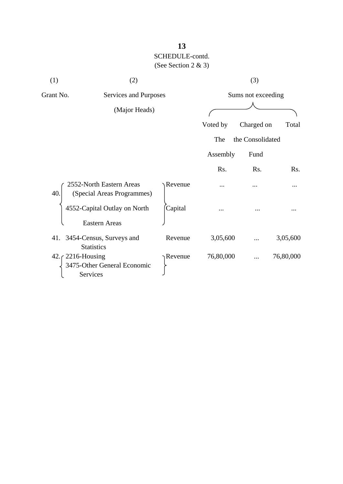| (1)       | (2)                                                                        |         |           | (3)                |           |
|-----------|----------------------------------------------------------------------------|---------|-----------|--------------------|-----------|
| Grant No. | Services and Purposes                                                      |         |           | Sums not exceeding |           |
|           | (Major Heads)                                                              |         |           |                    |           |
|           |                                                                            |         | Voted by  | Charged on         | Total     |
|           |                                                                            |         | The       | the Consolidated   |           |
|           |                                                                            |         | Assembly  | Fund               |           |
|           |                                                                            |         | Rs.       | Rs.                | Rs.       |
| 40.       | 2552-North Eastern Areas<br>(Special Areas Programmes)                     | Revenue |           |                    |           |
|           | 4552-Capital Outlay on North<br><b>Eastern Areas</b>                       | Capital |           |                    |           |
|           | 41. 3454-Census, Surveys and<br><b>Statistics</b>                          | Revenue | 3,05,600  |                    | 3,05,600  |
|           | 42. $\zeta$ 2216-Housing<br>3475-Other General Economic<br><b>Services</b> | Revenue | 76,80,000 |                    | 76,80,000 |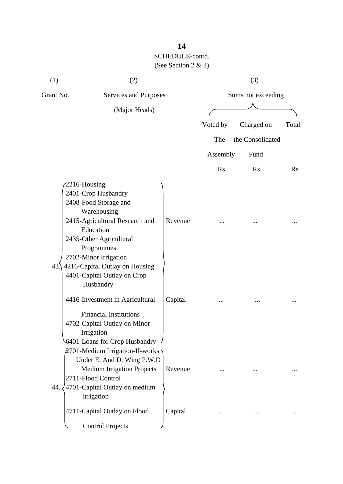| Grant No.<br>Services and Purposes<br>Sums not exceeding<br>(Major Heads)                                                                                                                                                                                                                    | Total |
|----------------------------------------------------------------------------------------------------------------------------------------------------------------------------------------------------------------------------------------------------------------------------------------------|-------|
|                                                                                                                                                                                                                                                                                              |       |
|                                                                                                                                                                                                                                                                                              |       |
| Voted by<br>Charged on                                                                                                                                                                                                                                                                       |       |
| The<br>the Consolidated                                                                                                                                                                                                                                                                      |       |
| Assembly<br>Fund                                                                                                                                                                                                                                                                             |       |
| Rs.<br>Rs.                                                                                                                                                                                                                                                                                   | Rs.   |
| 2216-Housing<br>2401-Crop Husbandry<br>2408-Food Storage and<br>Warehousing<br>2415-Agricultural Research and<br>Revenue<br>Education<br>2435-Other Agricultural<br>Programmes<br>2702-Minor Irrigation<br>4216-Capital Outlay on Housing<br>43.<br>4401-Capital Outlay on Crop<br>Husbandry |       |
| 4416-Investment in Agricultural<br>Capital<br><b>Financial Institutions</b><br>4702-Capital Outlay on Minor<br>Irrigation<br>6401-Loans for Crop Husbandry<br>2701-Medium Irrigation-II-works<br>Under E. And D. Wing P.W.D                                                                  |       |
| <b>Medium Irrigation Projects</b><br>Revenue<br>2711-Flood Control<br>4701-Capital Outlay on medium<br>44.<br>irrigation                                                                                                                                                                     |       |
| 4711-Capital Outlay on Flood<br>Capital<br><b>Control Projects</b>                                                                                                                                                                                                                           |       |

## **14**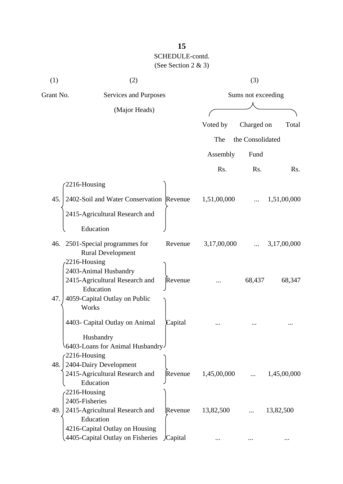| (1)       | (2)                                                                  |         |                    | (3)              |             |
|-----------|----------------------------------------------------------------------|---------|--------------------|------------------|-------------|
| Grant No. | Services and Purposes                                                |         | Sums not exceeding |                  |             |
|           | (Major Heads)                                                        |         |                    |                  |             |
|           |                                                                      |         | Voted by           | Charged on       | Total       |
|           |                                                                      |         | The                | the Consolidated |             |
|           |                                                                      |         |                    |                  |             |
|           |                                                                      |         | Assembly           | Fund             |             |
|           |                                                                      |         | Rs.                | Rs.              | Rs.         |
|           | 2216-Housing                                                         |         |                    |                  |             |
| 45.       | 2402-Soil and Water Conservation Revenue                             |         | 1,51,00,000        |                  | 1,51,00,000 |
|           | 2415-Agricultural Research and<br>Education                          |         |                    |                  |             |
|           |                                                                      |         |                    |                  |             |
|           | 46. 2501-Special programmes for<br><b>Rural Development</b>          | Revenue | 3,17,00,000        |                  | 3,17,00,000 |
|           | $2216$ -Housing                                                      |         |                    |                  |             |
|           | 2403-Animal Husbandry<br>2415-Agricultural Research and<br>Education | Revenue |                    | 68,437           | 68,347      |
| 47.       | 4059-Capital Outlay on Public<br>Works                               |         |                    |                  |             |
|           | 4403- Capital Outlay on Animal                                       | Capital |                    |                  |             |
|           | Husbandry<br>6403-Loans for Animal Husbandry<br>$-2216$ -Housing     |         |                    |                  |             |
| 48.       | 2404-Dairy Development                                               |         |                    |                  |             |
|           | 2415-Agricultural Research and<br>Education                          | Revenue | 1,45,00,000        |                  | 1,45,00,000 |
|           | $-2216$ -Housing                                                     |         |                    |                  |             |
| 49.       | 2405-Fisheries<br>2415-Agricultural Research and<br>Education        | Revenue | 13,82,500          |                  | 13,82,500   |
|           | 4216-Capital Outlay on Housing                                       |         |                    |                  |             |
|           | 4405-Capital Outlay on Fisheries                                     | Capital |                    |                  |             |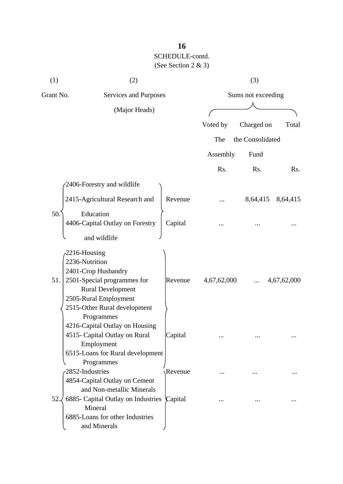| (1)                                       | (2)                                                                                                                                                   |         |                    | (3)              |             |  |
|-------------------------------------------|-------------------------------------------------------------------------------------------------------------------------------------------------------|---------|--------------------|------------------|-------------|--|
| Grant No.                                 | Services and Purposes                                                                                                                                 |         | Sums not exceeding |                  |             |  |
|                                           | (Major Heads)                                                                                                                                         |         |                    |                  |             |  |
|                                           |                                                                                                                                                       |         | Voted by           | Charged on       | Total       |  |
|                                           |                                                                                                                                                       |         | The                | the Consolidated |             |  |
|                                           |                                                                                                                                                       |         | Assembly           | Fund             |             |  |
|                                           |                                                                                                                                                       |         | Rs.                | Rs.              | Rs.         |  |
|                                           | 2406-Forestry and wildlife                                                                                                                            |         |                    |                  |             |  |
|                                           | 2415-Agricultural Research and                                                                                                                        | Revenue |                    | 8,64,415         | 8,64,415    |  |
| 50.                                       | Education<br>4406-Capital Outlay on Forestry<br>and wildlife                                                                                          | Capital |                    |                  |             |  |
| $-2216$ -Housing<br>2236-Nutrition<br>51. | 2401-Crop Husbandry<br>2501-Special programmes for<br><b>Rural Development</b><br>2505-Rural Employment<br>2515-Other Rural development<br>Programmes | Revenue | 4,67,62,000        |                  | 4,67,62,000 |  |
|                                           | 4216-Capital Outlay on Housing<br>4515- Capital Outlay on Rural<br>Employment<br>6515-Loans for Rural development                                     | Capital |                    |                  |             |  |
| 2852-Industries                           | Programmes<br>4854-Capital Outlay on Cement                                                                                                           | Revenue |                    |                  |             |  |
| 52.4                                      | and Non-metallic Minerals<br>6885 - Capital Outlay on Industries<br>Mineral<br>6885-Loans for other Industries<br>and Minerals                        | Capital |                    |                  |             |  |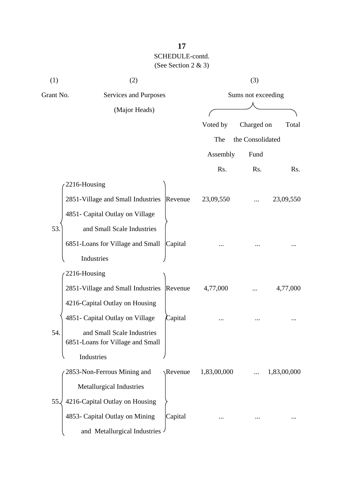| (1)       | (2)                                                            |                   |             | (3)                |             |
|-----------|----------------------------------------------------------------|-------------------|-------------|--------------------|-------------|
| Grant No. | Services and Purposes                                          |                   |             | Sums not exceeding |             |
|           | (Major Heads)                                                  |                   |             |                    |             |
|           |                                                                |                   | Voted by    | Charged on         | Total       |
|           |                                                                |                   | The         | the Consolidated   |             |
|           |                                                                |                   | Assembly    | Fund               |             |
|           |                                                                |                   | Rs.         | Rs.                | Rs.         |
|           | 2216-Housing                                                   |                   |             |                    |             |
|           | 2851-Village and Small Industries                              | Revenue           | 23,09,550   |                    | 23,09,550   |
|           | 4851- Capital Outlay on Village                                |                   |             |                    |             |
| 53.       | and Small Scale Industries                                     |                   |             |                    |             |
|           | 6851-Loans for Village and Small                               | Capital           |             |                    |             |
|           | Industries                                                     |                   |             |                    |             |
|           | 2216-Housing                                                   |                   |             |                    |             |
|           | 2851-Village and Small Industries                              | Revenue           | 4,77,000    |                    | 4,77,000    |
|           | 4216-Capital Outlay on Housing                                 |                   |             |                    |             |
|           | 4851- Capital Outlay on Village                                | Capital           |             |                    |             |
| 54.       | and Small Scale Industries<br>6851-Loans for Village and Small |                   |             |                    |             |
|           | Industries                                                     |                   |             |                    |             |
|           | 2853-Non-Ferrous Mining and                                    | $\lambda$ Revenue | 1,83,00,000 |                    | 1,83,00,000 |
|           | Metallurgical Industries                                       |                   |             |                    |             |
| 55.       | 4216-Capital Outlay on Housing                                 |                   |             |                    |             |
|           | 4853- Capital Outlay on Mining                                 | Capital           |             |                    |             |
|           | and Metallurgical Industries -                                 |                   |             |                    |             |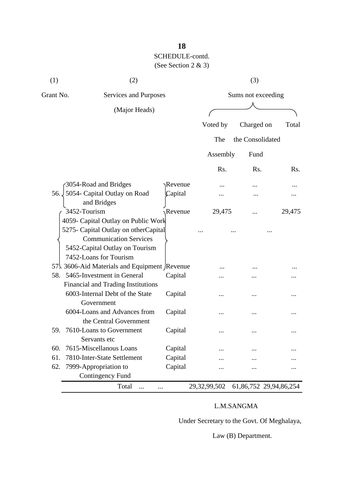| Grant No.<br>Sums not exceeding<br>Services and Purposes<br>(Major Heads)<br>Voted by<br>Charged on<br>Total<br>The<br>the Consolidated<br>Assembly<br>Fund<br>Rs.<br>Rs.<br>Rs.<br>3054-Road and Bridges<br>Revenue<br>56. 5054 - Capital Outlay on Road<br>Capital<br>and Bridges<br>3452-Tourism<br>Revenue<br>29,475<br>29,475<br>4059- Capital Outlay on Public Work<br>5275- Capital Outlay on otherCapital<br><b>Communication Services</b><br>5452-Capital Outlay on Tourism<br>7452-Loans for Tourism<br>57. 3606-Aid Materials and Equipment Revenue<br>58. 5465-Investment in General<br>Capital<br>Financial and Trading Institutions<br>6003-Internal Debt of the State<br>Capital<br>.<br>Government<br>6004-Loans and Advances from<br>Capital<br>the Central Government<br>59.<br>7610-Loans to Government<br>Capital<br>$\ddotsc$<br>Servants etc<br>7615-Miscellanous Loans<br>60.<br>Capital<br><br>61.<br>7810-Inter-State Settlement<br>Capital<br>Capital<br>62.<br>7999-Appropriation to<br><b>Contingency Fund</b><br>Total<br>29,32,99,502<br>61,86,752 29,94,86,254<br>$\cdots$<br>. | (1) | (2) |  |  | (3) |  |
|----------------------------------------------------------------------------------------------------------------------------------------------------------------------------------------------------------------------------------------------------------------------------------------------------------------------------------------------------------------------------------------------------------------------------------------------------------------------------------------------------------------------------------------------------------------------------------------------------------------------------------------------------------------------------------------------------------------------------------------------------------------------------------------------------------------------------------------------------------------------------------------------------------------------------------------------------------------------------------------------------------------------------------------------------------------------------------------------------------------|-----|-----|--|--|-----|--|
|                                                                                                                                                                                                                                                                                                                                                                                                                                                                                                                                                                                                                                                                                                                                                                                                                                                                                                                                                                                                                                                                                                                |     |     |  |  |     |  |
|                                                                                                                                                                                                                                                                                                                                                                                                                                                                                                                                                                                                                                                                                                                                                                                                                                                                                                                                                                                                                                                                                                                |     |     |  |  |     |  |
|                                                                                                                                                                                                                                                                                                                                                                                                                                                                                                                                                                                                                                                                                                                                                                                                                                                                                                                                                                                                                                                                                                                |     |     |  |  |     |  |
|                                                                                                                                                                                                                                                                                                                                                                                                                                                                                                                                                                                                                                                                                                                                                                                                                                                                                                                                                                                                                                                                                                                |     |     |  |  |     |  |
|                                                                                                                                                                                                                                                                                                                                                                                                                                                                                                                                                                                                                                                                                                                                                                                                                                                                                                                                                                                                                                                                                                                |     |     |  |  |     |  |
|                                                                                                                                                                                                                                                                                                                                                                                                                                                                                                                                                                                                                                                                                                                                                                                                                                                                                                                                                                                                                                                                                                                |     |     |  |  |     |  |
|                                                                                                                                                                                                                                                                                                                                                                                                                                                                                                                                                                                                                                                                                                                                                                                                                                                                                                                                                                                                                                                                                                                |     |     |  |  |     |  |
|                                                                                                                                                                                                                                                                                                                                                                                                                                                                                                                                                                                                                                                                                                                                                                                                                                                                                                                                                                                                                                                                                                                |     |     |  |  |     |  |
|                                                                                                                                                                                                                                                                                                                                                                                                                                                                                                                                                                                                                                                                                                                                                                                                                                                                                                                                                                                                                                                                                                                |     |     |  |  |     |  |
|                                                                                                                                                                                                                                                                                                                                                                                                                                                                                                                                                                                                                                                                                                                                                                                                                                                                                                                                                                                                                                                                                                                |     |     |  |  |     |  |
|                                                                                                                                                                                                                                                                                                                                                                                                                                                                                                                                                                                                                                                                                                                                                                                                                                                                                                                                                                                                                                                                                                                |     |     |  |  |     |  |
|                                                                                                                                                                                                                                                                                                                                                                                                                                                                                                                                                                                                                                                                                                                                                                                                                                                                                                                                                                                                                                                                                                                |     |     |  |  |     |  |
|                                                                                                                                                                                                                                                                                                                                                                                                                                                                                                                                                                                                                                                                                                                                                                                                                                                                                                                                                                                                                                                                                                                |     |     |  |  |     |  |
|                                                                                                                                                                                                                                                                                                                                                                                                                                                                                                                                                                                                                                                                                                                                                                                                                                                                                                                                                                                                                                                                                                                |     |     |  |  |     |  |
|                                                                                                                                                                                                                                                                                                                                                                                                                                                                                                                                                                                                                                                                                                                                                                                                                                                                                                                                                                                                                                                                                                                |     |     |  |  |     |  |
|                                                                                                                                                                                                                                                                                                                                                                                                                                                                                                                                                                                                                                                                                                                                                                                                                                                                                                                                                                                                                                                                                                                |     |     |  |  |     |  |
|                                                                                                                                                                                                                                                                                                                                                                                                                                                                                                                                                                                                                                                                                                                                                                                                                                                                                                                                                                                                                                                                                                                |     |     |  |  |     |  |
|                                                                                                                                                                                                                                                                                                                                                                                                                                                                                                                                                                                                                                                                                                                                                                                                                                                                                                                                                                                                                                                                                                                |     |     |  |  |     |  |

## L.M.SANGMA

Under Secretary to the Govt. Of Meghalaya,

Law (B) Department.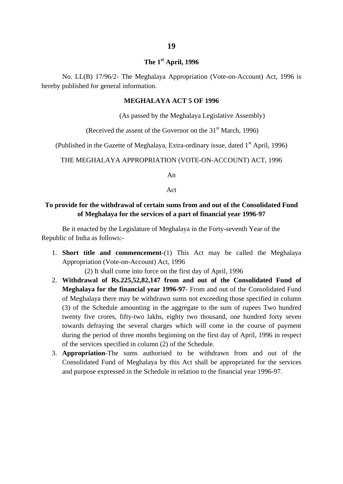#### **The 1st April, 1996**

No. LL(B) 17/96/2- The Meghalaya Appropriation (Vote-on-Account) Act, 1996 is hereby published for general information.

#### **MEGHALAYA ACT 5 OF 1996**

(As passed by the Meghalaya Legislative Assembly)

(Received the assent of the Governor on the  $31<sup>st</sup>$  March, 1996)

(Published in the Gazette of Meghalaya, Extra-ordinary issue, dated 1<sup>st</sup> April, 1996)

THE MEGHALAYA APPROPRIATION (VOTE-ON-ACCOUNT) ACT, 1996

An

Act

#### **To provide for the withdrawal of certain sums from and out of the Consolidated Fund of Meghalaya for the services of a part of financial year 1996-97**

Be it enacted by the Legislature of Meghalaya in the Forty-seventh Year of the Republic of India as follows:-

1. **Short title and commencement**-(1) This Act may be called the Meghalaya Appropriation (Vote-on-Account) Act, 1996

(2) It shall come into force on the first day of April, 1996

- 2. **Withdrawal of Rs.225,52,82,147 from and out of the Consolidated Fund of Meghalaya for the financial year 1996-97**- From and out of the Consolidated Fund of Meghalaya there may be withdrawn sums not exceeding those specified in column (3) of the Schedule amounting in the aggregate to the sum of rupees Two hundred twenty five crores, fifty-two lakhs, eighty two thousand, one hundred forty seven towards defraying the several charges which will come in the course of payment during the period of three months beginning on the first day of April, 1996 in respect of the services specified in column (2) of the Schedule.
- 3. **Appropriation**-The sums authorised to be withdrawn from and out of the Consolidated Fund of Meghalaya by this Act shall be appropriated for the services and purpose expressed in the Schedule in relation to the financial year 1996-97.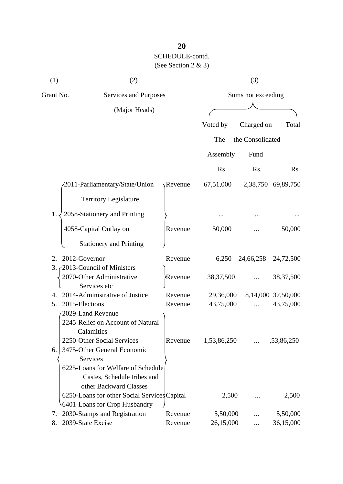| (1)       | (2)                                          |         | (3)                |                  |                    |  |
|-----------|----------------------------------------------|---------|--------------------|------------------|--------------------|--|
| Grant No. | Services and Purposes                        |         | Sums not exceeding |                  |                    |  |
|           | (Major Heads)                                |         |                    |                  |                    |  |
|           |                                              |         | Voted by           | Charged on       | Total              |  |
|           |                                              |         | The                | the Consolidated |                    |  |
|           |                                              |         | Assembly           | Fund             |                    |  |
|           |                                              |         | Rs.                | Rs.              | Rs.                |  |
|           | 2011-Parliamentary/State/Union               | Revenue | 67,51,000          |                  | 2,38,750 69,89,750 |  |
|           | <b>Territory Legislature</b>                 |         |                    |                  |                    |  |
| 1.        | 2058-Stationery and Printing                 |         |                    |                  |                    |  |
|           | 4058-Capital Outlay on                       | Revenue | 50,000             |                  | 50,000             |  |
|           | <b>Stationery and Printing</b>               |         |                    |                  |                    |  |
| 2.        | 2012-Governor                                | Revenue | 6,250              | 24,66,258        | 24,72,500          |  |
| 3.        | 2013-Council of Ministers                    |         |                    |                  |                    |  |
|           | 2070-Other Administrative<br>Services etc    | Revenue | 38, 37, 500        |                  | 38, 37, 500        |  |
| 4.        | 2014-Administrative of Justice               | Revenue | 29,36,000          |                  | 8,14,000 37,50,000 |  |
| 5.        | 2015-Elections                               | Revenue | 43,75,000          |                  | 43,75,000          |  |
|           | 2029-Land Revenue                            |         |                    |                  |                    |  |
|           | 2245-Relief on Account of Natural            |         |                    |                  |                    |  |
|           | Calamities                                   |         |                    |                  |                    |  |
|           | 2250-Other Social Services                   | Revenue | 1,53,86,250        |                  | ,53,86,250         |  |
| 6.        | 3475-Other General Economic                  |         |                    |                  |                    |  |
|           | Services                                     |         |                    |                  |                    |  |
|           | 6225-Loans for Welfare of Schedule           |         |                    |                  |                    |  |
|           | Castes, Schedule tribes and                  |         |                    |                  |                    |  |
|           | other Backward Classes                       |         |                    |                  |                    |  |
|           | 6250-Loans for other Social Services Capital |         | 2,500              |                  | 2,500              |  |
|           | 6401-Loans for Crop Husbandry                |         |                    |                  |                    |  |
| 7.        | 2030-Stamps and Registration                 | Revenue | 5,50,000           |                  | 5,50,000           |  |
| 8.        | 2039-State Excise                            | Revenue | 26,15,000          |                  | 36,15,000          |  |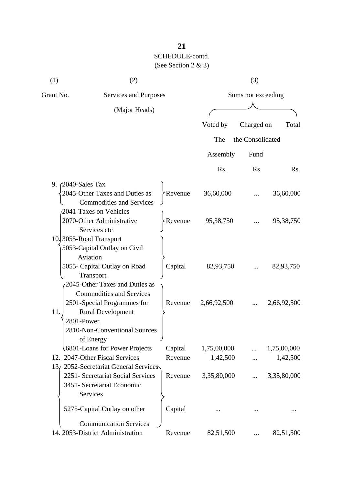| (1)             | (2)                                                       |         |             | (3)                |             |  |
|-----------------|-----------------------------------------------------------|---------|-------------|--------------------|-------------|--|
| Grant No.       | Services and Purposes                                     |         |             | Sums not exceeding |             |  |
|                 | (Major Heads)                                             |         |             |                    |             |  |
|                 |                                                           |         | Voted by    | Charged on         | Total       |  |
|                 |                                                           |         | The         | the Consolidated   |             |  |
|                 |                                                           |         | Assembly    | Fund               |             |  |
|                 |                                                           |         | Rs.         | Rs.                | Rs.         |  |
|                 | 9. $\angle$ 2040-Sales Tax                                |         |             |                    |             |  |
|                 | 2045-Other Taxes and Duties as                            | Revenue | 36,60,000   |                    | 36,60,000   |  |
|                 | <b>Commodities and Services</b><br>2041-Taxes on Vehicles |         |             |                    |             |  |
|                 | 2070-Other Administrative                                 | Revenue | 95,38,750   |                    | 95, 38, 750 |  |
|                 | Services etc                                              |         |             |                    |             |  |
|                 | 10.3055-Road Transport                                    |         |             |                    |             |  |
|                 | 5053-Capital Outlay on Civil                              |         |             |                    |             |  |
|                 | Aviation                                                  |         |             |                    |             |  |
|                 | 5055- Capital Outlay on Road<br>Transport                 | Capital | 82,93,750   |                    | 82,93,750   |  |
|                 | 2045-Other Taxes and Duties as                            |         |             |                    |             |  |
|                 | <b>Commodities and Services</b>                           |         |             |                    |             |  |
|                 | 2501-Special Programmes for                               | Revenue | 2,66,92,500 |                    | 2,66,92,500 |  |
| 11.             | <b>Rural Development</b>                                  |         |             |                    |             |  |
|                 | 2801-Power                                                |         |             |                    |             |  |
|                 | 2810-Non-Conventional Sources                             |         |             |                    |             |  |
|                 | of Energy                                                 |         |             |                    |             |  |
|                 | 6801-Loans for Power Projects                             | Capital | 1,75,00,000 |                    | 1,75,00,000 |  |
|                 | 12. 2047-Other Fiscal Services                            | Revenue | 1,42,500    |                    | 1,42,500    |  |
| 13 <sub>t</sub> | 2052-Secretariat General Services                         |         |             |                    |             |  |
|                 | 2251- Secretariat Social Services                         | Revenue | 3,35,80,000 |                    | 3,35,80,000 |  |
|                 | 3451- Secretariat Economic                                |         |             |                    |             |  |
|                 | Services                                                  |         |             |                    |             |  |
|                 | 5275-Capital Outlay on other                              | Capital |             |                    |             |  |
|                 | <b>Communication Services</b>                             |         |             |                    |             |  |
|                 | 14. 2053-District Administration                          | Revenue | 82,51,500   |                    | 82,51,500   |  |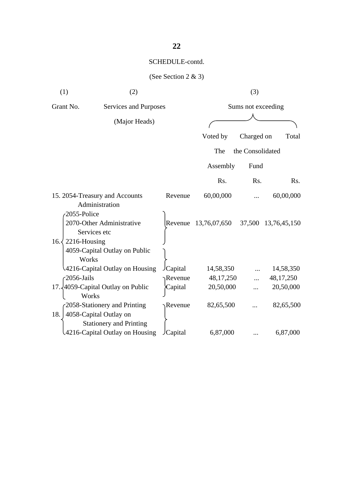| (1)           | (2)                                                    |                |                  | (3)                |                  |
|---------------|--------------------------------------------------------|----------------|------------------|--------------------|------------------|
| Grant No.     | Services and Purposes                                  |                |                  | Sums not exceeding |                  |
|               | (Major Heads)                                          |                |                  |                    |                  |
|               |                                                        |                |                  |                    |                  |
|               |                                                        |                | Voted by         | Charged on         | Total            |
|               |                                                        |                | The              | the Consolidated   |                  |
|               |                                                        |                | Assembly         | Fund               |                  |
|               |                                                        |                | R <sub>s</sub> . | R <sub>s</sub> .   | R <sub>s</sub> . |
|               | 15. 2054-Treasury and Accounts<br>Administration       | Revenue        | 60,00,000        |                    | 60,00,000        |
|               | 2055-Police                                            |                |                  |                    |                  |
|               | 2070-Other Administrative                              | Revenue        | 13,76,07,650     | 37,500             | 13,76,45,150     |
|               | Services etc                                           |                |                  |                    |                  |
| $16. \langle$ | 2216-Housing                                           |                |                  |                    |                  |
|               | 4059-Capital Outlay on Public<br>Works                 |                |                  |                    |                  |
|               | 4216-Capital Outlay on Housing                         | Capital        | 14,58,350        |                    | 14,58,350        |
|               | 2056-Jails                                             | Revenue        | 48, 17, 250      |                    | 48, 17, 250      |
|               | 17. $4059$ -Capital Outlay on Public<br>Works          | Capital        | 20,50,000        |                    | 20,50,000        |
| 18.           | 2058-Stationery and Printing<br>4058-Capital Outlay on | Revenue        | 82,65,500        |                    | 82,65,500        |
|               | <b>Stationery and Printing</b>                         |                |                  |                    |                  |
|               | 4216-Capital Outlay on Housing                         | <b>Capital</b> | 6,87,000         |                    | 6,87,000         |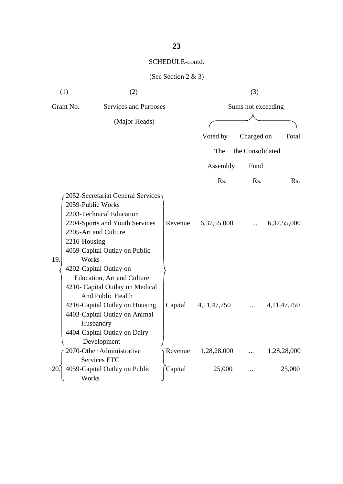|     | (2)<br>(1)                                                                                                                                                                                                                                                                                                                    |         |                | (3)                |                |
|-----|-------------------------------------------------------------------------------------------------------------------------------------------------------------------------------------------------------------------------------------------------------------------------------------------------------------------------------|---------|----------------|--------------------|----------------|
|     | Grant No.<br>Services and Purposes                                                                                                                                                                                                                                                                                            |         |                | Sums not exceeding |                |
|     | (Major Heads)                                                                                                                                                                                                                                                                                                                 |         |                |                    |                |
|     |                                                                                                                                                                                                                                                                                                                               |         |                |                    |                |
|     |                                                                                                                                                                                                                                                                                                                               |         | Voted by       | Charged on         | Total          |
|     |                                                                                                                                                                                                                                                                                                                               |         | The            | the Consolidated   |                |
|     |                                                                                                                                                                                                                                                                                                                               |         | Assembly       | Fund               |                |
|     |                                                                                                                                                                                                                                                                                                                               |         | Rs.            | Rs.                | Rs.            |
| 19. | 2052-Secretariat General Services<br>2059-Public Works<br>2203-Technical Education<br>2204-Sports and Youth Services<br>2205-Art and Culture<br>2216-Housing<br>4059-Capital Outlay on Public<br>Works<br>4202-Capital Outlay on<br><b>Education, Art and Culture</b><br>4210- Capital Outlay on Medical<br>And Public Health | Revenue | 6,37,55,000    |                    | 6,37,55,000    |
|     | 4216-Capital Outlay on Housing<br>4403-Capital Outlay on Animal<br>Husbandry<br>4404-Capital Outlay on Dairy<br>Development                                                                                                                                                                                                   | Capital | 4, 11, 47, 750 |                    | 4, 11, 47, 750 |
|     | 2070-Other Administrative                                                                                                                                                                                                                                                                                                     | Revenue | 1,28,28,000    |                    | 1,28,28,000    |
|     | Services ETC                                                                                                                                                                                                                                                                                                                  |         |                | $\ddotsc$          |                |
| 20. | 4059-Capital Outlay on Public<br>Works                                                                                                                                                                                                                                                                                        | Capital | 25,000         |                    | 25,000         |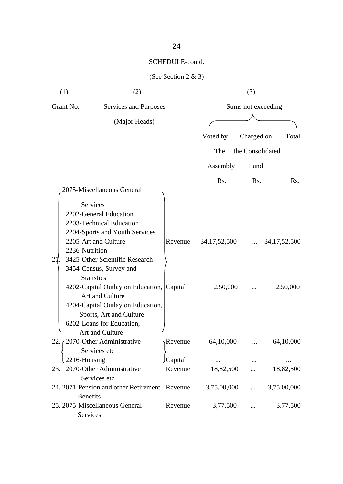| (1)       | (2)                                                                                                                                                                                                                                                                                                                                                                                       |                    |                             | (3)                |                             |
|-----------|-------------------------------------------------------------------------------------------------------------------------------------------------------------------------------------------------------------------------------------------------------------------------------------------------------------------------------------------------------------------------------------------|--------------------|-----------------------------|--------------------|-----------------------------|
| Grant No. | Services and Purposes                                                                                                                                                                                                                                                                                                                                                                     |                    |                             | Sums not exceeding |                             |
|           | (Major Heads)                                                                                                                                                                                                                                                                                                                                                                             |                    |                             |                    |                             |
|           |                                                                                                                                                                                                                                                                                                                                                                                           |                    | Voted by                    | Charged on         | Total                       |
|           |                                                                                                                                                                                                                                                                                                                                                                                           |                    | The                         | the Consolidated   |                             |
|           |                                                                                                                                                                                                                                                                                                                                                                                           |                    |                             |                    |                             |
|           |                                                                                                                                                                                                                                                                                                                                                                                           |                    | Assembly                    | Fund               |                             |
|           | 2075-Miscellaneous General                                                                                                                                                                                                                                                                                                                                                                |                    | Rs.                         | Rs.                | Rs.                         |
| 21.       | Services<br>2202-General Education<br>2203-Technical Education<br>2204-Sports and Youth Services<br>2205-Art and Culture<br>2236-Nutrition<br>3425-Other Scientific Research<br>3454-Census, Survey and<br><b>Statistics</b><br>4202-Capital Outlay on Education, Capital<br>Art and Culture<br>4204-Capital Outlay on Education,<br>Sports, Art and Culture<br>6202-Loans for Education, | Revenue            | 34, 17, 52, 500<br>2,50,000 | $\cdots$           | 34, 17, 52, 500<br>2,50,000 |
|           | Art and Culture<br>22. c2070-Other Administrative<br>Services etc                                                                                                                                                                                                                                                                                                                         | $\neg$ Revenue     | 64,10,000                   |                    | 64,10,000                   |
|           | 2216-Housing<br>23. 2070-Other Administrative<br>Services etc                                                                                                                                                                                                                                                                                                                             | Capital<br>Revenue | 18,82,500                   |                    | 18,82,500                   |
|           | 24. 2071-Pension and other Retirement Revenue                                                                                                                                                                                                                                                                                                                                             |                    | 3,75,00,000                 | $\cdots$           | 3,75,00,000                 |
|           | <b>Benefits</b><br>25. 2075-Miscellaneous General<br>Services                                                                                                                                                                                                                                                                                                                             | Revenue            | 3,77,500                    |                    | 3,77,500                    |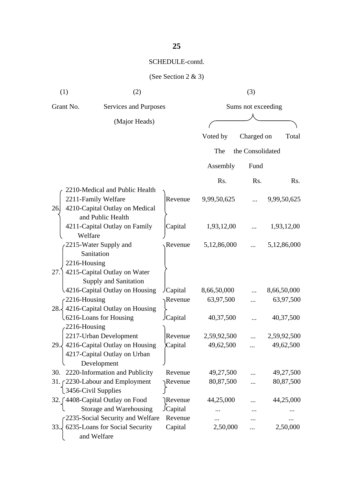| (1)<br>(2)   |                                                                                                              |                | (3)         |                    |             |  |  |
|--------------|--------------------------------------------------------------------------------------------------------------|----------------|-------------|--------------------|-------------|--|--|
| Grant No.    | Services and Purposes                                                                                        |                |             | Sums not exceeding |             |  |  |
|              | (Major Heads)                                                                                                |                |             |                    |             |  |  |
|              |                                                                                                              |                | Voted by    | Charged on         | Total       |  |  |
|              |                                                                                                              |                | The         | the Consolidated   |             |  |  |
|              |                                                                                                              |                | Assembly    | Fund               |             |  |  |
|              |                                                                                                              |                | Rs.         | Rs.                | Rs.         |  |  |
| 26.          | 2210-Medical and Public Health<br>2211-Family Welfare<br>4210-Capital Outlay on Medical<br>and Public Health | Revenue        | 9,99,50,625 |                    | 9,99,50,625 |  |  |
|              | 4211-Capital Outlay on Family<br>Welfare                                                                     | Capital        | 1,93,12,00  |                    | 1,93,12,00  |  |  |
| 2216-Housing | 2215-Water Supply and<br>Sanitation                                                                          | Revenue        | 5,12,86,000 |                    | 5,12,86,000 |  |  |
| 27.          | 4215-Capital Outlay on Water<br>Supply and Sanitation                                                        |                |             |                    |             |  |  |
|              | 4216-Capital Outlay on Housing                                                                               | /Capital       | 8,66,50,000 |                    | 8,66,50,000 |  |  |
| 2216-Housing |                                                                                                              | Revenue        | 63,97,500   |                    | 63,97,500   |  |  |
| 28.1         | 4216-Capital Outlay on Housing                                                                               |                |             |                    |             |  |  |
|              | 6216-Loans for Housing                                                                                       | Capital        | 40,37,500   |                    | 40,37,500   |  |  |
| 2216-Housing |                                                                                                              |                |             |                    |             |  |  |
|              | 2217-Urban Development                                                                                       | Revenue        | 2,59,92,500 |                    | 2,59,92,500 |  |  |
|              | 29. $\frac{1}{2}$ 4216-Capital Outlay on Housing<br>4217-Capital Outlay on Urban                             | Capital        | 49,62,500   |                    | 49,62,500   |  |  |
|              | Development<br>30. 2220-Information and Publicity                                                            | Revenue        | 49,27,500   |                    | 49,27,500   |  |  |
|              | 31. 2230-Labour and Employment                                                                               | Revenue        | 80,87,500   |                    | 80,87,500   |  |  |
|              | 3456-Civil Supplies                                                                                          |                |             |                    |             |  |  |
|              | 32. [4408-Capital Outlay on Food                                                                             | Revenue        | 44,25,000   |                    | 44,25,000   |  |  |
|              | Storage and Warehousing                                                                                      | <b>Capital</b> |             |                    |             |  |  |
|              | 2235-Social Security and Welfare                                                                             | Revenue        |             |                    |             |  |  |
| 33.          | 6235-Loans for Social Security                                                                               | Capital        | 2,50,000    |                    | 2,50,000    |  |  |
|              | and Welfare                                                                                                  |                |             |                    |             |  |  |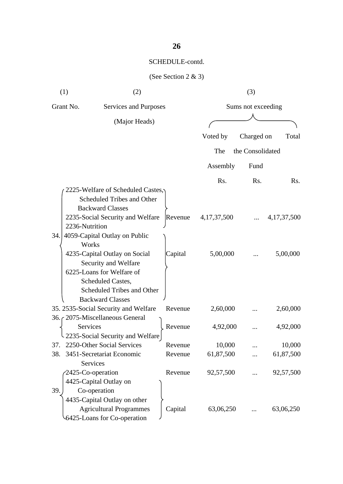|     | (1)<br>(2)                           |         |                | (3)                |                |
|-----|--------------------------------------|---------|----------------|--------------------|----------------|
|     | Grant No.<br>Services and Purposes   |         |                | Sums not exceeding |                |
|     | (Major Heads)                        |         |                |                    |                |
|     |                                      |         | Voted by       | Charged on         | Total          |
|     |                                      |         | The            | the Consolidated   |                |
|     |                                      |         |                |                    |                |
|     |                                      |         | Assembly       | Fund               |                |
|     |                                      |         | Rs.            | Rs.                | Rs.            |
|     | 2225-Welfare of Scheduled Castes,    |         |                |                    |                |
|     | Scheduled Tribes and Other           |         |                |                    |                |
|     | <b>Backward Classes</b>              |         |                |                    |                |
|     | 2235-Social Security and Welfare     | Revenue | 4, 17, 37, 500 |                    | 4, 17, 37, 500 |
|     | 2236-Nutrition                       |         |                |                    |                |
| 34. | 4059-Capital Outlay on Public        |         |                |                    |                |
|     | Works                                |         |                |                    |                |
|     | 4235-Capital Outlay on Social        | Capital | 5,00,000       |                    | 5,00,000       |
|     | Security and Welfare                 |         |                |                    |                |
|     | 6225-Loans for Welfare of            |         |                |                    |                |
|     | Scheduled Castes,                    |         |                |                    |                |
|     | Scheduled Tribes and Other           |         |                |                    |                |
|     | <b>Backward Classes</b>              |         |                |                    |                |
|     | 35. 2535-Social Security and Welfare | Revenue | 2,60,000       |                    | 2,60,000       |
|     | 36. (2075-Miscellaneous General      |         |                |                    |                |
|     | Services                             | Revenue | 4,92,000       |                    | 4,92,000       |
|     | 2235-Social Security and Welfare     |         |                |                    |                |
| 37. | 2250-Other Social Services           | Revenue | 10,000         |                    | 10,000         |
| 38. | 3451-Secretariat Economic            | Revenue | 61,87,500      |                    | 61,87,500      |
|     | Services                             |         |                |                    |                |
|     | 2425-Co-operation                    | Revenue | 92,57,500      |                    | 92,57,500      |
|     | 4425-Capital Outlay on               |         |                |                    |                |
| 39. | Co-operation                         |         |                |                    |                |
|     | 4435-Capital Outlay on other         |         |                |                    |                |
|     | <b>Agricultural Programmes</b>       | Capital | 63,06,250      |                    | 63,06,250      |
|     | 6425-Loans for Co-operation          |         |                |                    |                |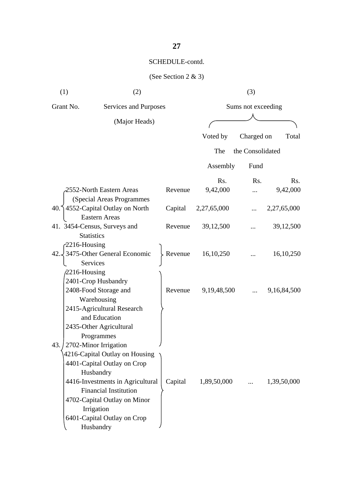| (1)  | (2)                                                         |         |                     | (3)                |             |
|------|-------------------------------------------------------------|---------|---------------------|--------------------|-------------|
|      | Grant No.<br>Services and Purposes                          |         |                     | Sums not exceeding |             |
|      | (Major Heads)                                               |         |                     |                    |             |
|      |                                                             |         | Voted by            | Charged on         | Total       |
|      |                                                             |         | The                 | the Consolidated   |             |
|      |                                                             |         | Assembly            | Fund               |             |
|      |                                                             |         | Rs.                 | R <sub>s</sub> .   | Rs.         |
|      | 2552-North Eastern Areas                                    | Revenue | 9,42,000            |                    | 9,42,000    |
|      | (Special Areas Programmes                                   |         |                     |                    |             |
|      | 40. 14552-Capital Outlay on North                           |         | Capital 2,27,65,000 |                    | 2,27,65,000 |
|      | Eastern Areas                                               |         |                     |                    |             |
|      | 41. 3454-Census, Surveys and                                | Revenue | 39,12,500           |                    | 39,12,500   |
|      | <b>Statistics</b>                                           |         |                     |                    |             |
|      | $2216$ -Housing                                             |         | Revenue $16,10,250$ |                    |             |
|      | $42.\sqrt{3475}$ -Other General Economic<br><b>Services</b> |         |                     |                    | 16, 10, 250 |
|      | $/2216$ -Housing                                            |         |                     |                    |             |
|      | 2401-Crop Husbandry                                         |         |                     |                    |             |
|      | 2408-Food Storage and                                       | Revenue | 9, 19, 48, 500      |                    | 9,16,84,500 |
|      | Warehousing                                                 |         |                     |                    |             |
|      | 2415-Agricultural Research                                  |         |                     |                    |             |
|      | and Education                                               |         |                     |                    |             |
|      | 2435-Other Agricultural                                     |         |                     |                    |             |
|      | Programmes                                                  |         |                     |                    |             |
| 43.1 | 2702-Minor Irrigation                                       |         |                     |                    |             |
|      | 4216-Capital Outlay on Housing                              |         |                     |                    |             |
|      | 4401-Capital Outlay on Crop                                 |         |                     |                    |             |
|      | Husbandry                                                   |         |                     |                    |             |
|      | 4416-Investments in Agricultural                            | Capital | 1,89,50,000         | $\cdots$           | 1,39,50,000 |
|      | <b>Financial Institution</b>                                |         |                     |                    |             |
|      | 4702-Capital Outlay on Minor                                |         |                     |                    |             |
|      | Irrigation                                                  |         |                     |                    |             |
|      | 6401-Capital Outlay on Crop                                 |         |                     |                    |             |
|      | Husbandry                                                   |         |                     |                    |             |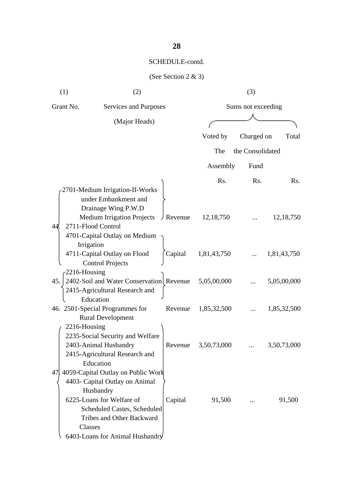| (1)          | (2)                                      |                   |             | (3)                |             |
|--------------|------------------------------------------|-------------------|-------------|--------------------|-------------|
| Grant No.    | Services and Purposes                    |                   |             | Sums not exceeding |             |
|              | (Major Heads)                            |                   |             |                    |             |
|              |                                          |                   | Voted by    | Charged on         | Total       |
|              |                                          |                   |             |                    |             |
|              |                                          |                   | The         | the Consolidated   |             |
|              |                                          |                   | Assembly    | Fund               |             |
|              |                                          |                   | Rs.         | Rs.                | Rs.         |
|              | 2701-Medium Irrigation-II-Works          |                   |             |                    |             |
|              | under Embankment and                     |                   |             |                    |             |
|              | Drainage Wing P.W.D                      |                   |             |                    |             |
|              | <b>Medium Irrigation Projects</b>        | $\bigcup$ Revenue | 12, 18, 750 |                    | 12, 18, 750 |
| 44           | 2711-Flood Control                       |                   |             |                    |             |
|              | 4701-Capital Outlay on Medium            |                   |             |                    |             |
|              | Irrigation                               |                   |             |                    |             |
|              | 4711-Capital Outlay on Flood             | Capital           | 1,81,43,750 |                    | 1,81,43,750 |
|              | <b>Control Projects</b>                  |                   |             |                    |             |
| 2216-Housing |                                          |                   |             |                    |             |
| 45.          | 2402-Soil and Water Conservation Revenue |                   | 5,05,00,000 |                    | 5,05,00,000 |
|              | 2415-Agricultural Research and           |                   |             |                    |             |
|              | Education                                |                   |             |                    |             |
|              | 46. 2501-Special Programmes for          | Revenue           | 1,85,32,500 |                    | 1,85,32,500 |
|              | <b>Rural Development</b>                 |                   |             |                    |             |
| 2216-Housing |                                          |                   |             |                    |             |
|              | 2235-Social Security and Welfare         |                   |             |                    |             |
|              | 2403-Animal Husbandry                    | Revenue           | 3,50,73,000 |                    | 3,50,73,000 |
|              | 2415-Agricultural Research and           |                   |             |                    |             |
|              | Education                                |                   |             |                    |             |
|              | 47. 4059-Capital Outlay on Public Work   |                   |             |                    |             |
|              | 4403- Capital Outlay on Animal           |                   |             |                    |             |
|              | Husbandry                                |                   |             |                    |             |
|              | 6225-Loans for Welfare of                | Capital           | 91,500      | $\cdots$           | 91,500      |
|              | Scheduled Castes, Scheduled              |                   |             |                    |             |
|              | <b>Tribes and Other Backward</b>         |                   |             |                    |             |
| Classes      |                                          |                   |             |                    |             |
|              | 6403-Loans for Animal Husbandry          |                   |             |                    |             |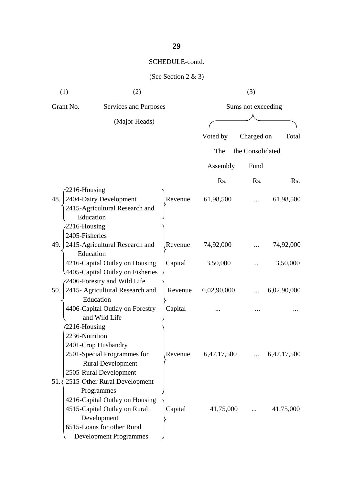| (1)<br>(2)                         |                                                  |         | (3)                |                  |             |  |
|------------------------------------|--------------------------------------------------|---------|--------------------|------------------|-------------|--|
| Grant No.<br>Services and Purposes |                                                  |         | Sums not exceeding |                  |             |  |
| (Major Heads)                      |                                                  |         |                    |                  |             |  |
|                                    |                                                  |         | Voted by           | Charged on       | Total       |  |
|                                    |                                                  |         |                    |                  |             |  |
|                                    |                                                  |         | The                | the Consolidated |             |  |
|                                    |                                                  |         | Assembly           | Fund             |             |  |
|                                    |                                                  |         | Rs.                | Rs.              | Rs.         |  |
| 48.                                | $2216$ -Housing<br>2404-Dairy Development        | Revenue | 61,98,500          |                  | 61,98,500   |  |
|                                    | 2415-Agricultural Research and                   |         |                    |                  |             |  |
|                                    | Education                                        |         |                    |                  |             |  |
|                                    | $-2216$ -Housing                                 |         |                    |                  |             |  |
|                                    | 2405-Fisheries                                   |         |                    |                  |             |  |
| 49.                                | 2415-Agricultural Research and                   | Revenue | 74,92,000          |                  | 74,92,000   |  |
|                                    | Education                                        |         |                    |                  |             |  |
|                                    | 4216-Capital Outlay on Housing                   | Capital | 3,50,000           |                  | 3,50,000    |  |
|                                    | 4405-Capital Outlay on Fisheries                 |         |                    |                  |             |  |
|                                    | 2406-Forestry and Wild Life                      |         |                    |                  |             |  |
| 50.                                | 2415- Agricultural Research and                  | Revenue | 6,02,90,000        |                  | 6,02,90,000 |  |
|                                    | Education                                        |         |                    |                  |             |  |
|                                    | 4406-Capital Outlay on Forestry<br>and Wild Life | Capital |                    |                  |             |  |
|                                    |                                                  |         |                    |                  |             |  |
|                                    | $2216$ -Housing<br>2236-Nutrition                |         |                    |                  |             |  |
|                                    | 2401-Crop Husbandry                              |         |                    |                  |             |  |
|                                    | 2501-Special Programmes for                      | Revenue | 6,47,17,500        |                  | 6,47,17,500 |  |
|                                    | <b>Rural Development</b>                         |         |                    |                  |             |  |
|                                    | 2505-Rural Development                           |         |                    |                  |             |  |
| 51.                                | 2515-Other Rural Development                     |         |                    |                  |             |  |
|                                    | Programmes                                       |         |                    |                  |             |  |
|                                    | 4216-Capital Outlay on Housing                   |         |                    |                  |             |  |
|                                    | 4515-Capital Outlay on Rural                     | Capital | 41,75,000          |                  | 41,75,000   |  |
|                                    | Development                                      |         |                    |                  |             |  |
|                                    | 6515-Loans for other Rural                       |         |                    |                  |             |  |
|                                    | <b>Development Programmes</b>                    |         |                    |                  |             |  |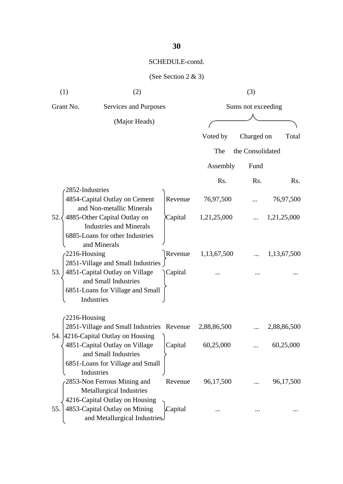| (1) | (2)                                                                                                                         |         |                    | (3)              |             |
|-----|-----------------------------------------------------------------------------------------------------------------------------|---------|--------------------|------------------|-------------|
|     | Grant No.<br><b>Services and Purposes</b>                                                                                   |         | Sums not exceeding |                  |             |
|     | (Major Heads)                                                                                                               |         |                    |                  |             |
|     |                                                                                                                             |         | Voted by           | Charged on       | Total       |
|     |                                                                                                                             |         | The                | the Consolidated |             |
|     |                                                                                                                             |         | Assembly           | Fund             |             |
|     |                                                                                                                             |         | Rs.                | Rs.              | Rs.         |
|     | 2852-Industries<br>4854-Capital Outlay on Cement<br>and Non-metallic Minerals                                               | Revenue | 76,97,500          |                  | 76,97,500   |
| 52. | 4885-Other Capital Outlay on<br><b>Industries and Minerals</b><br>6885-Loans for other Industries<br>and Minerals           | Capital | 1,21,25,000        |                  | 1,21,25,000 |
|     | 2216-Housing<br>2851-Village and Small Industries                                                                           | Revenue | 1,13,67,500        |                  | 1,13,67,500 |
| 53. | 4851-Capital Outlay on Village<br>and Small Industries<br>6851-Loans for Village and Small<br>Industries                    | Capital |                    |                  |             |
|     | $2216$ -Housing                                                                                                             |         |                    |                  |             |
|     | 2851-Village and Small Industries Revenue                                                                                   |         | 2,88,86,500        |                  | 2,88,86,500 |
|     | 54. 4216-Capital Outlay on Housing<br>4851-Capital Outlay on Village<br>and Small Industries                                |         | Capital 60,25,000  |                  | 60,25,000   |
|     | 6851-Loans for Village and Small<br>Industries<br>2853-Non Ferrous Mining and                                               | Revenue | 96,17,500          |                  | 96,17,500   |
| 55. | Metallurgical Industries<br>4216-Capital Outlay on Housing<br>4853-Capital Outlay on Mining<br>and Metallurgical Industries | Capital |                    |                  |             |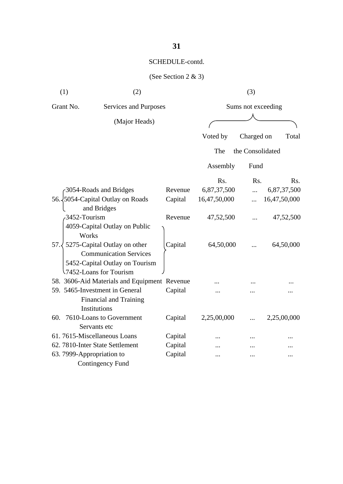| (1)                       | (2)                                          |         | (3)                |                  |              |
|---------------------------|----------------------------------------------|---------|--------------------|------------------|--------------|
| Grant No.                 | Services and Purposes                        |         | Sums not exceeding |                  |              |
|                           | (Major Heads)                                |         |                    |                  |              |
|                           |                                              |         |                    |                  |              |
|                           |                                              |         | Voted by           | Charged on       | Total        |
|                           |                                              |         | The                | the Consolidated |              |
|                           |                                              |         | Assembly           | Fund             |              |
|                           |                                              |         | Rs.                | Rs.              | Rs.          |
|                           | 3054-Roads and Bridges                       | Revenue | 6,87,37,500        |                  | 6,87,37,500  |
|                           | 56. 5054-Capital Outlay on Roads             | Capital | 16,47,50,000       | $\dddotsc$       | 16,47,50,000 |
|                           | and Bridges                                  |         |                    |                  |              |
| 3452-Tourism              |                                              | Revenue | 47,52,500          |                  | 47,52,500    |
|                           | 4059-Capital Outlay on Public                |         |                    |                  |              |
| Works                     |                                              |         |                    |                  |              |
|                           | 57. $\sqrt{5275}$ -Capital Outlay on other   | Capital | 64,50,000          |                  | 64,50,000    |
|                           | <b>Communication Services</b>                |         |                    |                  |              |
|                           | 5452-Capital Outlay on Tourism               |         |                    |                  |              |
|                           | 7452-Loans for Tourism                       |         |                    |                  |              |
|                           | 58. 3606-Aid Materials and Equipment Revenue |         |                    |                  |              |
|                           | 59. 5465-Investment in General               | Capital |                    |                  |              |
|                           | <b>Financial and Training</b>                |         |                    |                  |              |
|                           | Institutions                                 |         |                    |                  |              |
|                           | 60. 7610-Loans to Government                 | Capital | 2,25,00,000        |                  | 2,25,00,000  |
|                           | Servants etc                                 |         |                    |                  |              |
|                           | 61.7615-Miscellaneous Loans                  | Capital |                    |                  |              |
|                           | 62. 7810-Inter State Settlement              | Capital |                    |                  |              |
| 63. 7999-Appropriation to |                                              | Capital |                    |                  |              |
|                           | <b>Contingency Fund</b>                      |         |                    |                  |              |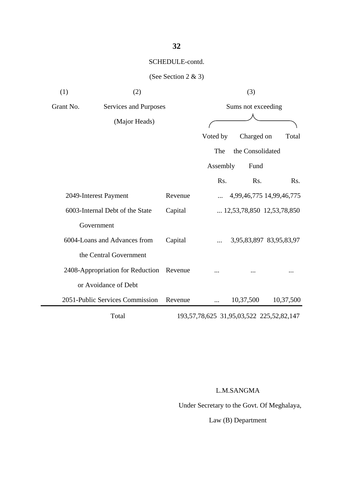#### (See Section 2 & 3)

| (1)       | (2)                              |         | (3)                |                  |                                                   |
|-----------|----------------------------------|---------|--------------------|------------------|---------------------------------------------------|
| Grant No. | Services and Purposes            |         | Sums not exceeding |                  |                                                   |
|           | (Major Heads)                    |         |                    |                  |                                                   |
|           |                                  |         | Voted by           | Charged on       | Total                                             |
|           |                                  |         | The                | the Consolidated |                                                   |
|           |                                  |         | Assembly           | Fund             |                                                   |
|           |                                  |         | Rs.                | Rs.              | Rs.                                               |
|           | 2049-Interest Payment            | Revenue |                    |                  | 4,99,46,775 14,99,46,775                          |
|           | 6003-Internal Debt of the State  | Capital |                    |                  | $\ldots$ 12,53,78,850 12,53,78,850                |
|           | Government                       |         |                    |                  |                                                   |
|           | 6004-Loans and Advances from     | Capital |                    |                  | 3,95,83,897 83,95,83,97                           |
|           | the Central Government           |         |                    |                  |                                                   |
|           | 2408-Appropriation for Reduction | Revenue |                    |                  |                                                   |
|           | or Avoidance of Debt             |         |                    |                  |                                                   |
|           | 2051-Public Services Commission  | Revenue | .                  | 10,37,500        | 10,37,500                                         |
|           | Total                            |         |                    |                  | 193, 57, 78, 625 31, 95, 03, 522 225, 52, 82, 147 |

L.M.SANGMA

Under Secretary to the Govt. Of Meghalaya,

Law (B) Department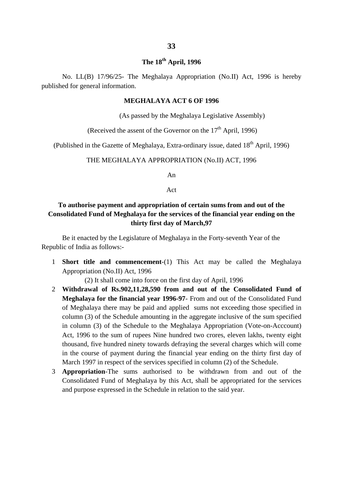## **The 18th April, 1996**

No. LL(B) 17/96/25- The Meghalaya Appropriation (No.II) Act, 1996 is hereby published for general information.

#### **MEGHALAYA ACT 6 OF 1996**

(As passed by the Meghalaya Legislative Assembly)

(Received the assent of the Governor on the  $17<sup>th</sup>$  April, 1996)

(Published in the Gazette of Meghalaya, Extra-ordinary issue, dated 18<sup>th</sup> April, 1996)

#### THE MEGHALAYA APPROPRIATION (No.II) ACT, 1996

An

Act

#### **To authorise payment and appropriation of certain sums from and out of the Consolidated Fund of Meghalaya for the services of the financial year ending on the thirty first day of March,97**

Be it enacted by the Legislature of Meghalaya in the Forty-seventh Year of the Republic of India as follows:-

1 **Short title and commencement**-(1) This Act may be called the Meghalaya Appropriation (No.II) Act, 1996

(2) It shall come into force on the first day of April, 1996

- 2 **Withdrawal of Rs.902,11,28,590 from and out of the Consolidated Fund of Meghalaya for the financial year 1996-97**- From and out of the Consolidated Fund of Meghalaya there may be paid and applied sums not exceeding those specified in column (3) of the Schedule amounting in the aggregate inclusive of the sum specified in column (3) of the Schedule to the Meghalaya Appropriation (Vote-on-Acccount) Act, 1996 to the sum of rupees Nine hundred two crores, eleven lakhs, twenty eight thousand, five hundred ninety towards defraying the several charges which will come in the course of payment during the financial year ending on the thirty first day of March 1997 in respect of the services specified in column (2) of the Schedule.
- 3 **Appropriation**-The sums authorised to be withdrawn from and out of the Consolidated Fund of Meghalaya by this Act, shall be appropriated for the services and purpose expressed in the Schedule in relation to the said year.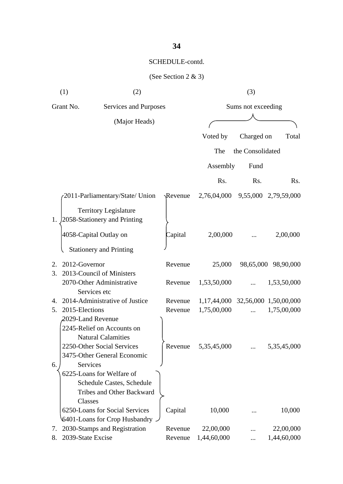| (1)                          | (2)                                                                                   |              | (3)                               |                  |                      |
|------------------------------|---------------------------------------------------------------------------------------|--------------|-----------------------------------|------------------|----------------------|
| Grant No.                    | Services and Purposes                                                                 |              | Sums not exceeding                |                  |                      |
|                              | (Major Heads)                                                                         |              |                                   |                  |                      |
|                              |                                                                                       |              | Voted by                          | Charged on       | Total                |
|                              |                                                                                       |              |                                   |                  |                      |
|                              |                                                                                       |              | The                               | the Consolidated |                      |
|                              |                                                                                       |              | Assembly                          | Fund             |                      |
|                              |                                                                                       |              | Rs.                               | Rs.              | Rs.                  |
|                              | 2011-Parliamentary/State/ Union                                                       | $\Re$ evenue | 2,76,04,000                       |                  | 9,55,000 2,79,59,000 |
| 1.                           | <b>Territory Legislature</b><br>2058-Stationery and Printing                          |              |                                   |                  |                      |
|                              | 4058-Capital Outlay on                                                                | Capital      | 2,00,000                          |                  | 2,00,000             |
|                              | <b>Stationery and Printing</b>                                                        |              |                                   |                  |                      |
| 2012-Governor<br>$2_{\cdot}$ |                                                                                       | Revenue      | 25,000                            |                  | 98,65,000 98,90,000  |
| 3.                           | 2013-Council of Ministers                                                             |              |                                   |                  |                      |
|                              | 2070-Other Administrative<br>Services etc                                             | Revenue      | 1,53,50,000                       |                  | 1,53,50,000          |
| 4.                           | 2014-Administrative of Justice                                                        | Revenue      | 1,17,44,000 32,56,000 1,50,00,000 |                  |                      |
| 2015-Elections<br>5.         |                                                                                       | Revenue      | 1,75,00,000                       | $\dddotsc$       | 1,75,00,000          |
| 2029-Land Revenue            | 2245-Relief on Accounts on<br><b>Natural Calamities</b><br>2250-Other Social Services | Revenue      | 5,35,45,000                       |                  | 5,35,45,000          |
|                              | 3475-Other General Economic                                                           |              |                                   |                  |                      |
| Services<br>6.<br>Classes    | 6225-Loans for Welfare of<br>Schedule Castes, Schedule<br>Tribes and Other Backward   |              |                                   |                  |                      |
|                              | 6250-Loans for Social Services<br>6401-Loans for Crop Husbandry.                      | Capital      | 10,000                            |                  | 10,000               |
| 7.                           | 2030-Stamps and Registration                                                          | Revenue      | 22,00,000                         |                  | 22,00,000            |
| 2039-State Excise<br>8.      |                                                                                       | Revenue      | 1,44,60,000                       |                  | 1,44,60,000          |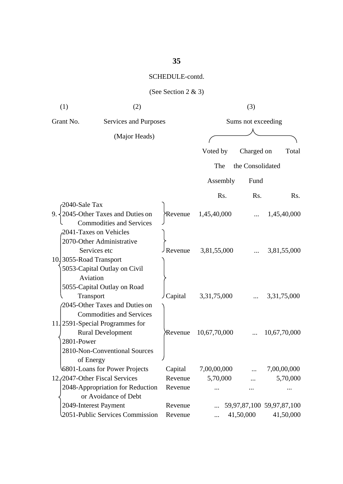# **35**

#### SCHEDULE-contd.

| (1)                    | (2)                                                                                                                                          |                      |                  |                    | (3)              |                           |
|------------------------|----------------------------------------------------------------------------------------------------------------------------------------------|----------------------|------------------|--------------------|------------------|---------------------------|
| Grant No.              | Services and Purposes                                                                                                                        |                      |                  | Sums not exceeding |                  |                           |
|                        | (Major Heads)                                                                                                                                |                      |                  |                    |                  |                           |
|                        |                                                                                                                                              |                      | Voted by         |                    | Charged on       | Total                     |
|                        |                                                                                                                                              |                      | The              |                    | the Consolidated |                           |
|                        |                                                                                                                                              |                      | Assembly         |                    | Fund             |                           |
|                        |                                                                                                                                              |                      |                  |                    |                  |                           |
| 2040-Sale Tax          |                                                                                                                                              |                      | R <sub>s</sub> . |                    | Rs.              | Rs.                       |
|                        | 9. $\{2045\text{-}Other Taxes and Duties on$<br><b>Commodities and Services</b>                                                              | Revenue <sup>}</sup> | 1,45,40,000      |                    |                  | 1,45,40,000               |
| 10.3055-Road Transport | 2041-Taxes on Vehicles<br>2070-Other Administrative<br>Services etc<br>5053-Capital Outlay on Civil<br>Aviation                              | Revenue              | 3,81,55,000      |                    |                  | 3,81,55,000               |
|                        | 5055-Capital Outlay on Road<br>Transport<br>2045-Other Taxes and Duties on                                                                   | Capital              | 3,31,75,000      |                    |                  | 3, 31, 75, 000            |
| 2801-Power             | <b>Commodities and Services</b><br>11. 2591-Special Programmes for<br><b>Rural Development</b><br>2810-Non-Conventional Sources<br>of Energy | Revenue              | 10,67,70,000     |                    |                  | 10,67,70,000              |
|                        | 6801-Loans for Power Projects                                                                                                                | Capital              | 7,00,00,000      |                    |                  | 7,00,00,000               |
|                        | 12./2047-Other Fiscal Services                                                                                                               | Revenue              | 5,70,000         |                    |                  | 5,70,000                  |
|                        | 2048-Appropriation for Reduction<br>or Avoidance of Debt                                                                                     | Revenue              |                  |                    |                  |                           |
|                        | 2049-Interest Payment                                                                                                                        | Revenue              |                  |                    |                  | 59,97,87,100 59,97,87,100 |
|                        | 2051-Public Services Commission                                                                                                              | Revenue              |                  |                    | 41,50,000        | 41,50,000                 |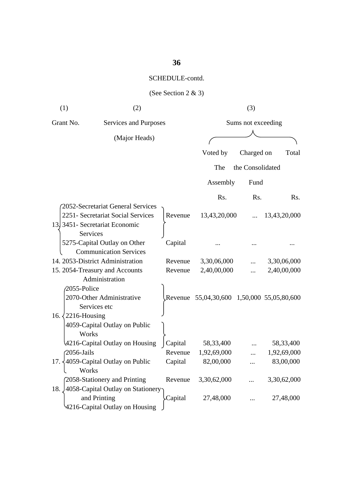# **36**

#### SCHEDULE-contd.

| (1)                                | (2)                                            |         |                                            | (3)              |              |
|------------------------------------|------------------------------------------------|---------|--------------------------------------------|------------------|--------------|
| Grant No.<br>Services and Purposes |                                                |         | Sums not exceeding                         |                  |              |
|                                    | (Major Heads)                                  |         |                                            |                  |              |
|                                    |                                                |         | Voted by                                   | Charged on       | Total        |
|                                    |                                                |         | The                                        | the Consolidated |              |
|                                    |                                                |         |                                            |                  |              |
|                                    |                                                |         | Assembly                                   | Fund             |              |
|                                    |                                                |         | Rs.                                        | Rs.              | Rs.          |
|                                    | 2052-Secretariat General Services              |         |                                            |                  |              |
|                                    | 2251- Secretariat Social Services              | Revenue | 13,43,20,000                               | $\dddotsc$       | 13,43,20,000 |
|                                    | 13 3451 - Secretariat Economic                 |         |                                            |                  |              |
|                                    | Services                                       |         |                                            |                  |              |
|                                    | 5275-Capital Outlay on Other                   | Capital |                                            |                  |              |
|                                    | <b>Communication Services</b>                  |         |                                            |                  |              |
|                                    | 14. 2053-District Administration               | Revenue | 3,30,06,000                                |                  | 3,30,06,000  |
|                                    | 15. 2054-Treasury and Accounts                 | Revenue | 2,40,00,000                                | .                | 2,40,00,000  |
|                                    | Administration                                 |         |                                            |                  |              |
| 2055-Police                        |                                                |         |                                            |                  |              |
|                                    | 2070-Other Administrative                      |         | Revenue 55,04,30,600 1,50,000 55,05,80,600 |                  |              |
|                                    | Services etc                                   |         |                                            |                  |              |
| 16. $\langle 2216$ -Housing        |                                                |         |                                            |                  |              |
|                                    | 4059-Capital Outlay on Public                  |         |                                            |                  |              |
| Works                              |                                                |         |                                            |                  |              |
|                                    | 4216-Capital Outlay on Housing                 | Capital | 58,33,400                                  |                  | 58, 33, 400  |
| $\sqrt{2056}$ -Jails               |                                                | Revenue | 1,92,69,000                                |                  | 1,92,69,000  |
|                                    | 17. $\frac{1}{4059}$ -Capital Outlay on Public | Capital | 82,00,000                                  |                  | 83,00,000    |
| Works                              |                                                |         |                                            |                  |              |
|                                    | 2058-Stationery and Printing                   | Revenue | 3,30,62,000                                |                  | 3,30,62,000  |
| 18.                                | 4058-Capital Outlay on Stationery              |         |                                            |                  |              |
|                                    | and Printing                                   | Capital | 27,48,000                                  |                  | 27,48,000    |
|                                    | 4216-Capital Outlay on Housing                 |         |                                            |                  |              |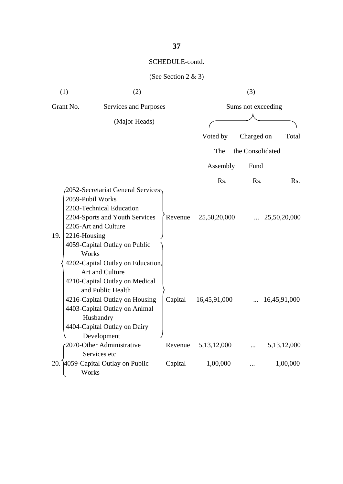| (1) | (2)                                                                                                                                                                                                                                                                                                                         |         |                | (3)                |                |
|-----|-----------------------------------------------------------------------------------------------------------------------------------------------------------------------------------------------------------------------------------------------------------------------------------------------------------------------------|---------|----------------|--------------------|----------------|
|     | Grant No.<br>Services and Purposes                                                                                                                                                                                                                                                                                          |         |                | Sums not exceeding |                |
|     | (Major Heads)                                                                                                                                                                                                                                                                                                               |         |                |                    |                |
|     |                                                                                                                                                                                                                                                                                                                             |         | Voted by       | Charged on         | Total          |
|     |                                                                                                                                                                                                                                                                                                                             |         | The            | the Consolidated   |                |
|     |                                                                                                                                                                                                                                                                                                                             |         | Assembly       | Fund               |                |
|     |                                                                                                                                                                                                                                                                                                                             |         | Rs.            | Rs.                | Rs.            |
| 19. | <b>2052-Secretariat General Services</b><br>2059-Pubil Works<br>2203-Technical Education<br>2204-Sports and Youth Services<br>2205-Art and Culture<br>2216-Housing<br>4059-Capital Outlay on Public<br>Works<br>4202-Capital Outlay on Education,<br>Art and Culture<br>4210-Capital Outlay on Medical<br>and Public Health | Revenue | 25,50,20,000   |                    | 25,50,20,000   |
|     | 4216-Capital Outlay on Housing<br>4403-Capital Outlay on Animal<br>Husbandry<br>4404-Capital Outlay on Dairy<br>Development                                                                                                                                                                                                 | Capital | 16,45,91,000   |                    | 16,45,91,000   |
|     | 2070-Other Administrative                                                                                                                                                                                                                                                                                                   | Revenue | 5, 13, 12, 000 | $\cdots$           | 5, 13, 12, 000 |
|     | Services etc                                                                                                                                                                                                                                                                                                                |         |                |                    |                |
|     | 20. 4059-Capital Outlay on Public<br>Works                                                                                                                                                                                                                                                                                  | Capital | 1,00,000       |                    | 1,00,000       |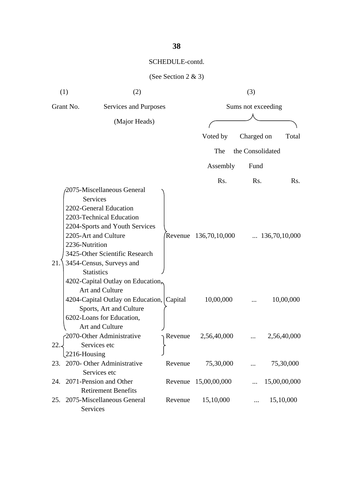|               | (1)<br>(2)                                                                                                                                                                                                                                                                                              |         |                       | (3)              |                        |  |
|---------------|---------------------------------------------------------------------------------------------------------------------------------------------------------------------------------------------------------------------------------------------------------------------------------------------------------|---------|-----------------------|------------------|------------------------|--|
|               | Grant No.<br>Services and Purposes                                                                                                                                                                                                                                                                      |         | Sums not exceeding    |                  |                        |  |
| (Major Heads) |                                                                                                                                                                                                                                                                                                         |         |                       |                  |                        |  |
|               |                                                                                                                                                                                                                                                                                                         |         | Voted by              | Charged on       | Total                  |  |
|               |                                                                                                                                                                                                                                                                                                         |         | The                   | the Consolidated |                        |  |
|               |                                                                                                                                                                                                                                                                                                         |         | Assembly              | Fund             |                        |  |
|               |                                                                                                                                                                                                                                                                                                         |         | Rs.                   | Rs.              | Rs.                    |  |
| 21.           | 2075-Miscellaneous General<br><b>Services</b><br>2202-General Education<br>2203-Technical Education<br>2204-Sports and Youth Services<br>2205-Art and Culture<br>2236-Nutrition<br>3425-Other Scientific Research<br>3454-Census, Surveys and<br><b>Statistics</b><br>4202-Capital Outlay on Education, |         | Revenue 136,70,10,000 |                  | $\ldots$ 136,70,10,000 |  |
|               | Art and Culture<br>4204-Capital Outlay on Education, Capital<br>Sports, Art and Culture<br>6202-Loans for Education,                                                                                                                                                                                    |         | 10,00,000             |                  | 10,00,000              |  |
| 22.           | Art and Culture<br>2070-Other Administrative<br>Services etc                                                                                                                                                                                                                                            | Revenue | 2,56,40,000           |                  | 2,56,40,000            |  |
|               | 2216-Housing<br>23. 2070- Other Administrative<br>Services etc                                                                                                                                                                                                                                          | Revenue | 75,30,000             |                  | 75,30,000              |  |
| 24.           | 2071-Pension and Other<br><b>Retirement Benefits</b>                                                                                                                                                                                                                                                    |         | Revenue 15,00,00,000  |                  | 15,00,00,000           |  |
| 25.           | 2075-Miscellaneous General<br>Services                                                                                                                                                                                                                                                                  | Revenue | 15,10,000             | $\cdots$         | 15,10,000              |  |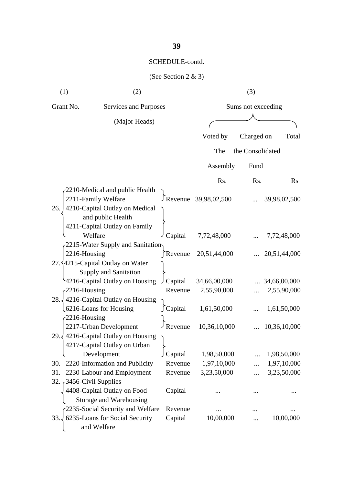| (1)                     | (2)                                                                                                  |                    |                        | (3)                |                       |  |
|-------------------------|------------------------------------------------------------------------------------------------------|--------------------|------------------------|--------------------|-----------------------|--|
| Grant No.               | Services and Purposes                                                                                |                    |                        | Sums not exceeding |                       |  |
|                         | (Major Heads)                                                                                        |                    |                        |                    |                       |  |
|                         |                                                                                                      |                    | Voted by               | Charged on         | Total                 |  |
|                         |                                                                                                      |                    | The                    | the Consolidated   |                       |  |
|                         |                                                                                                      |                    | Assembly               | Fund               |                       |  |
|                         |                                                                                                      |                    | Rs.                    | Rs.                | $\rm Rs$              |  |
|                         | 2210-Medical and public Health<br>2211-Family Welfare                                                |                    | J Revenue 39,98,02,500 |                    | 39,98,02,500          |  |
| 26.                     | 4210-Capital Outlay on Medical<br>and public Health<br>4211-Capital Outlay on Family                 |                    |                        |                    |                       |  |
|                         | Welfare                                                                                              | Capital            | 7,72,48,000            |                    | 7,72,48,000           |  |
| 2216-Housing            | 2215-Water Supply and Sanitation<br>27. 4215-Capital Outlay on Water<br><b>Supply and Sanitation</b> | Revenue            | 20,51,44,000           |                    | 20,51,44,000          |  |
|                         | 4216-Capital Outlay on Housing                                                                       | Capital            | 34,66,00,000           |                    | $\ldots$ 34,66,00,000 |  |
| $-2216$ -Housing        |                                                                                                      | Revenue            | 2,55,90,000            |                    | 2,55,90,000           |  |
| 28.<br>$-2216$ -Housing | 4216-Capital Outlay on Housing<br>6216-Loans for Housing                                             | ∫Capital           | 1,61,50,000            |                    | 1,61,50,000           |  |
|                         | 2217-Urban Development                                                                               | Revenue            | 10,36,10,000           |                    | 10,36,10,000          |  |
| 29.4                    | 4216-Capital Outlay on Housing<br>4217-Capital Outlay on Urban                                       |                    |                        |                    |                       |  |
|                         | Development                                                                                          | Capital            | 1,98,50,000            |                    | 1,98,50,000           |  |
| 30.                     | 2220-Information and Publicity                                                                       | Revenue            | 1,97,10,000            |                    | 1,97,10,000           |  |
| 31.                     | 2230-Labour and Employment                                                                           | Revenue            | 3,23,50,000            | .                  | 3,23,50,000           |  |
| 32. 3456-Civil Supplies | 4408-Capital Outlay on Food<br>Storage and Warehousing<br>2235-Social Security and Welfare           | Capital<br>Revenue |                        |                    |                       |  |
| 33.4                    | 6235-Loans for Social Security                                                                       | Capital            | 10,00,000              |                    | 10,00,000             |  |
|                         | and Welfare                                                                                          |                    |                        |                    |                       |  |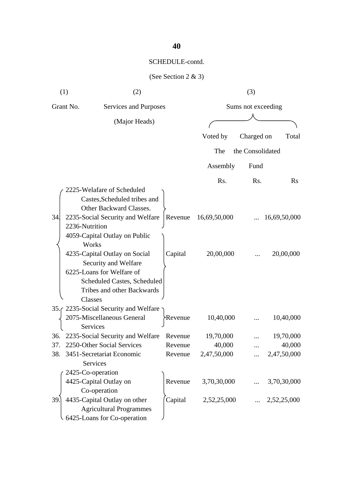|     | (1)<br>(2)                                                                                                                                                                                                                                                                                                                                          |                    |                           | (3)                |                           |
|-----|-----------------------------------------------------------------------------------------------------------------------------------------------------------------------------------------------------------------------------------------------------------------------------------------------------------------------------------------------------|--------------------|---------------------------|--------------------|---------------------------|
|     | Grant No.<br>Services and Purposes                                                                                                                                                                                                                                                                                                                  |                    |                           | Sums not exceeding |                           |
|     | (Major Heads)                                                                                                                                                                                                                                                                                                                                       |                    |                           |                    |                           |
|     |                                                                                                                                                                                                                                                                                                                                                     |                    | Voted by                  | Charged on         | Total                     |
|     |                                                                                                                                                                                                                                                                                                                                                     |                    | The                       | the Consolidated   |                           |
|     |                                                                                                                                                                                                                                                                                                                                                     |                    | Assembly                  | Fund               |                           |
|     |                                                                                                                                                                                                                                                                                                                                                     |                    | Rs.                       | Rs.                | $\rm Rs$                  |
| 34. | 2225-Welafare of Scheduled<br>Castes, Scheduled tribes and<br>Other Backward Classes.<br>2235-Social Security and Welfare<br>2236-Nutrition<br>4059-Capital Outlay on Public<br>Works<br>4235-Capital Outlay on Social<br>Security and Welfare<br>6225-Loans for Welfare of<br>Scheduled Castes, Scheduled<br>Tribes and other Backwards<br>Classes | Revenue<br>Capital | 16,69,50,000<br>20,00,000 |                    | 16,69,50,000<br>20,00,000 |
|     | 35. 2235 Social Security and Welfare                                                                                                                                                                                                                                                                                                                |                    |                           |                    |                           |
|     | 2075-Miscellaneous General<br>Services                                                                                                                                                                                                                                                                                                              | <b>Revenue</b>     | 10,40,000                 |                    | 10,40,000                 |
|     | 36. 2235-Social Security and Welfare Revenue                                                                                                                                                                                                                                                                                                        |                    | 19,70,000                 |                    | 19,70,000                 |
|     | 2250-Other Social Services                                                                                                                                                                                                                                                                                                                          | Revenue            | 40,000                    |                    | 40,000                    |
| 38. | 3451-Secretariat Economic<br>Services                                                                                                                                                                                                                                                                                                               | Revenue            | 2,47,50,000               |                    | 2,47,50,000               |
|     | 2425-Co-operation<br>4425-Capital Outlay on<br>Co-operation                                                                                                                                                                                                                                                                                         | Revenue            | 3,70,30,000               |                    | 3,70,30,000               |
| 39. | 4435-Capital Outlay on other<br><b>Agricultural Programmes</b><br>6425-Loans for Co-operation                                                                                                                                                                                                                                                       | Capital            | 2,52,25,000               |                    | 2,52,25,000               |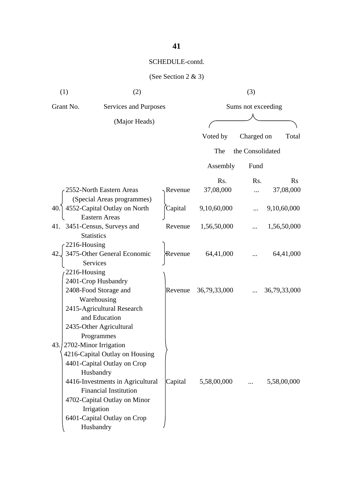| (1)                | (2)                                                                                                                                                                                                                                                                                                                         |         | (3)          |                    |              |  |
|--------------------|-----------------------------------------------------------------------------------------------------------------------------------------------------------------------------------------------------------------------------------------------------------------------------------------------------------------------------|---------|--------------|--------------------|--------------|--|
| Grant No.          | Services and Purposes                                                                                                                                                                                                                                                                                                       |         |              | Sums not exceeding |              |  |
|                    | (Major Heads)                                                                                                                                                                                                                                                                                                               |         |              |                    |              |  |
|                    |                                                                                                                                                                                                                                                                                                                             |         | Voted by     | Charged on         | Total        |  |
|                    |                                                                                                                                                                                                                                                                                                                             |         | The          | the Consolidated   |              |  |
|                    |                                                                                                                                                                                                                                                                                                                             |         | Assembly     | Fund               |              |  |
|                    |                                                                                                                                                                                                                                                                                                                             |         | Rs.          | Rs.                | $\rm Rs$     |  |
|                    | 2552-North Eastern Areas<br>(Special Areas programmes)                                                                                                                                                                                                                                                                      | Revenue | 37,08,000    |                    | 37,08,000    |  |
| 40.1               | 4552-Capital Outlay on North<br><b>Eastern Areas</b>                                                                                                                                                                                                                                                                        | Capital | 9,10,60,000  |                    | 9,10,60,000  |  |
| 41.                | 3451-Census, Surveys and<br><b>Statistics</b>                                                                                                                                                                                                                                                                               | Revenue | 1,56,50,000  |                    | 1,56,50,000  |  |
| 2216-Housing<br>42 | 3475-Other General Economic<br>Services                                                                                                                                                                                                                                                                                     | Revenue | 64,41,000    |                    | 64,41,000    |  |
| 2216-Housing       | 2401-Crop Husbandry<br>2408-Food Storage and<br>Warehousing<br>2415-Agricultural Research                                                                                                                                                                                                                                   | Revenue | 36,79,33,000 |                    | 36,79,33,000 |  |
| 43.                | and Education<br>2435-Other Agricultural<br>Programmes<br>2702-Minor Irrigation<br>4216-Capital Outlay on Housing<br>4401-Capital Outlay on Crop<br>Husbandry<br>4416-Investments in Agricultural<br><b>Financial Institution</b><br>4702-Capital Outlay on Minor<br>Irrigation<br>6401-Capital Outlay on Crop<br>Husbandry | Capital | 5,58,00,000  | $\cdots$           | 5,58,00,000  |  |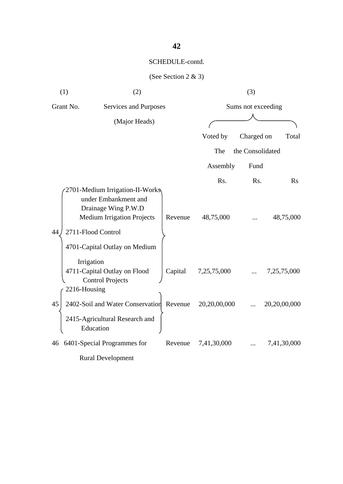| (1)                                | (2)                                                                                                                                                                        |                    |              | (3)              |              |
|------------------------------------|----------------------------------------------------------------------------------------------------------------------------------------------------------------------------|--------------------|--------------|------------------|--------------|
| Grant No.<br>Services and Purposes |                                                                                                                                                                            | Sums not exceeding |              |                  |              |
|                                    | (Major Heads)                                                                                                                                                              |                    |              |                  |              |
|                                    |                                                                                                                                                                            |                    | Voted by     | Charged on       | Total        |
|                                    |                                                                                                                                                                            |                    | The          | the Consolidated |              |
|                                    |                                                                                                                                                                            |                    | Assembly     | Fund             |              |
|                                    |                                                                                                                                                                            |                    | Rs.          | Rs.              | Rs           |
| 44                                 | 2701-Medium Irrigation-II-Works<br>under Embankment and<br>Drainage Wing P.W.D<br><b>Medium Irrigation Projects</b><br>2711-Flood Control<br>4701-Capital Outlay on Medium | Revenue            | 48,75,000    |                  | 48,75,000    |
|                                    | Irrigation<br>4711-Capital Outlay on Flood<br><b>Control Projects</b>                                                                                                      | Capital            | 7,25,75,000  |                  | 7,25,75,000  |
| 45                                 | 2216-Housing<br>2402-Soil and Water Conservation Revenue<br>2415-Agricultural Research and<br>Education                                                                    |                    | 20,20,00,000 |                  | 20,20,00,000 |
| 46                                 | 6401-Special Programmes for<br><b>Rural Development</b>                                                                                                                    | Revenue            | 7,41,30,000  |                  | 7,41,30,000  |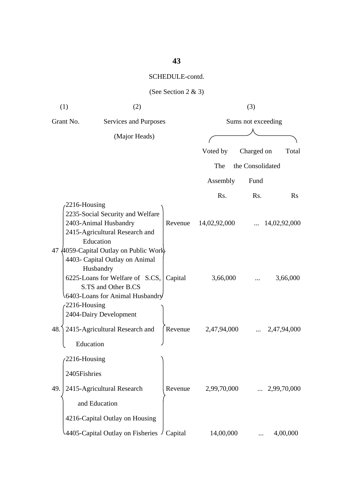# **43**

#### SCHEDULE-contd.

|     | (1)<br>(2)                                         |                                                                                                                                                                   |         | (3)                |                  |              |  |
|-----|----------------------------------------------------|-------------------------------------------------------------------------------------------------------------------------------------------------------------------|---------|--------------------|------------------|--------------|--|
|     | Grant No.<br>Services and Purposes                 |                                                                                                                                                                   |         | Sums not exceeding |                  |              |  |
|     |                                                    | (Major Heads)                                                                                                                                                     |         |                    |                  |              |  |
|     |                                                    |                                                                                                                                                                   |         | Voted by           | Charged on       | Total        |  |
|     |                                                    |                                                                                                                                                                   |         | The                | the Consolidated |              |  |
|     |                                                    |                                                                                                                                                                   |         | Assembly           | Fund             |              |  |
|     |                                                    |                                                                                                                                                                   |         | Rs.                | Rs.              | Rs           |  |
|     | 2216-Housing<br>2403-Animal Husbandry<br>Education | 2235-Social Security and Welfare<br>2415-Agricultural Research and                                                                                                | Revenue | 14,02,92,000       |                  | 14,02,92,000 |  |
| 47  | Husbandry<br>2216-Housing                          | 4059-Capital Outlay on Public Work<br>4403- Capital Outlay on Animal<br>6225-Loans for Welfare of S.CS,<br>S.TS and Other B.CS<br>6403-Loans for Animal Husbandry | Capital | 3,66,000           |                  | 3,66,000     |  |
| 48. | 2404-Dairy Development<br>Education                | 2415-Agricultural Research and                                                                                                                                    | Revenue | 2,47,94,000        |                  | 2,47,94,000  |  |
| 49. | 2216-Housing<br>2405Fishries<br>and Education      | 2415-Agricultural Research                                                                                                                                        | Revenue | 2,99,70,000        |                  | 2,99,70,000  |  |
|     |                                                    | 4216-Capital Outlay on Housing<br>4405-Capital Outlay on Fisheries $\frac{1}{2}$                                                                                  | Capital | 14,00,000          |                  | 4,00,000     |  |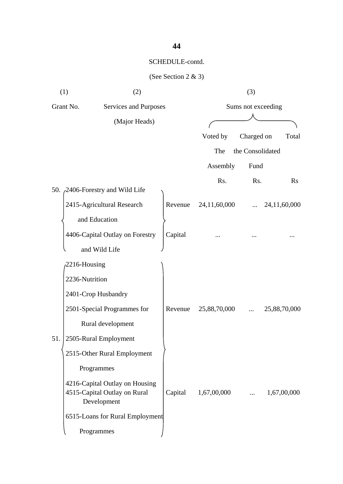|     | (1)<br>(2)                                  |  |         | (3)                |                  |              |  |
|-----|---------------------------------------------|--|---------|--------------------|------------------|--------------|--|
|     | Grant No.<br>Services and Purposes          |  |         | Sums not exceeding |                  |              |  |
|     | (Major Heads)                               |  |         |                    |                  |              |  |
|     |                                             |  |         | Voted by           | Charged on       | Total        |  |
|     |                                             |  |         | The                | the Consolidated |              |  |
|     |                                             |  |         | Assembly           | Fund             |              |  |
|     |                                             |  |         | Rs.                | Rs.              | <b>Rs</b>    |  |
|     | 50. 2406-Forestry and Wild Life             |  |         |                    |                  |              |  |
|     | 2415-Agricultural Research                  |  | Revenue | 24,11,60,000       |                  | 24,11,60,000 |  |
|     | and Education                               |  |         |                    |                  |              |  |
|     | 4406-Capital Outlay on Forestry             |  | Capital |                    |                  |              |  |
|     | and Wild Life                               |  |         |                    |                  |              |  |
|     | 2216-Housing                                |  |         |                    |                  |              |  |
|     | 2236-Nutrition                              |  |         |                    |                  |              |  |
|     | 2401-Crop Husbandry                         |  |         |                    |                  |              |  |
|     | 2501-Special Programmes for                 |  | Revenue | 25,88,70,000       |                  | 25,88,70,000 |  |
|     | Rural development                           |  |         |                    |                  |              |  |
| 51. | 2505-Rural Employment                       |  |         |                    |                  |              |  |
|     | 2515-Other Rural Employment                 |  |         |                    |                  |              |  |
|     | Programmes                                  |  |         |                    |                  |              |  |
|     | 4216-Capital Outlay on Housing              |  |         |                    |                  |              |  |
|     | 4515-Capital Outlay on Rural<br>Development |  | Capital | 1,67,00,000        |                  | 1,67,00,000  |  |
|     | 6515-Loans for Rural Employment             |  |         |                    |                  |              |  |
|     |                                             |  |         |                    |                  |              |  |
|     | Programmes                                  |  |         |                    |                  |              |  |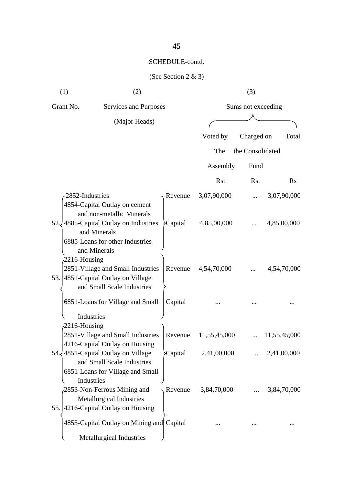| (1)                           | (2)                                                                                                                                                |         | (3)                |                  |              |  |
|-------------------------------|----------------------------------------------------------------------------------------------------------------------------------------------------|---------|--------------------|------------------|--------------|--|
| Grant No.                     | Services and Purposes                                                                                                                              |         | Sums not exceeding |                  |              |  |
|                               | (Major Heads)                                                                                                                                      |         |                    |                  |              |  |
|                               |                                                                                                                                                    |         | Voted by           | Charged on       | Total        |  |
|                               |                                                                                                                                                    |         | The                | the Consolidated |              |  |
|                               |                                                                                                                                                    |         | Assembly           | Fund             |              |  |
|                               |                                                                                                                                                    |         | Rs.                | Rs.              | <b>Rs</b>    |  |
| 2852-Industries               |                                                                                                                                                    | Revenue | 3,07,90,000        |                  | 3,07,90,000  |  |
| 52.J                          | 4854-Capital Outlay on cement<br>and non-metallic Minerals<br>4885-Capital Outlay on Industries<br>and Minerals<br>6885-Loans for other Industries | Capital | 4,85,00,000        |                  | 4,85,00,000  |  |
| $2216$ -Housing               | and Minerals<br>2851-Village and Small Industries<br>53. 4851-Capital Outlay on Village<br>and Small Scale Industries                              | Revenue | 4,54,70,000        |                  | 4,54,70,000  |  |
|                               | 6851-Loans for Village and Small                                                                                                                   | Capital |                    |                  |              |  |
| Industries<br>$2216$ -Housing | 2851-Village and Small Industries                                                                                                                  | Revenue | 11,55,45,000       |                  | 11,55,45,000 |  |
|                               | 4216-Capital Outlay on Housing                                                                                                                     |         |                    |                  |              |  |
| Industries                    | 54. 4851 - Capital Outlay on Village<br>and Small Scale Industries<br>6851-Loans for Village and Small                                             | Capital | 2,41,00,000        |                  | 2,41,00,000  |  |
|                               | 2853-Non-Ferrous Mining and<br><b>Metallurgical Industries</b><br>55. 4216-Capital Outlay on Housing                                               | Revenue | 3,84,70,000        |                  | 3,84,70,000  |  |
|                               | 4853-Capital Outlay on Mining and Capital                                                                                                          |         |                    |                  |              |  |
|                               | Metallurgical Industries                                                                                                                           |         |                    |                  |              |  |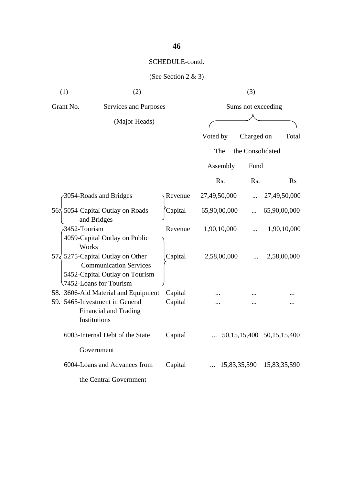| (1)       | (2)                                                                                                                                   |         |              | (3)                |                 |
|-----------|---------------------------------------------------------------------------------------------------------------------------------------|---------|--------------|--------------------|-----------------|
| Grant No. | Services and Purposes<br>(Major Heads)                                                                                                |         |              | Sums not exceeding |                 |
|           |                                                                                                                                       |         |              |                    |                 |
|           |                                                                                                                                       |         | Voted by     | Charged on         | Total           |
|           |                                                                                                                                       |         | The          | the Consolidated   |                 |
|           |                                                                                                                                       |         | Assembly     | Fund               |                 |
|           |                                                                                                                                       |         | Rs.          | Rs.                | Rs              |
|           | 3054-Roads and Bridges                                                                                                                | Revenue | 27,49,50,000 |                    | 27,49,50,000    |
|           | 565 5054-Capital Outlay on Roads<br>and Bridges                                                                                       | Capital | 65,90,00,000 |                    | 65,90,00,000    |
|           | 3452-Tourism<br>4059-Capital Outlay on Public<br>Works                                                                                | Revenue | 1,90,10,000  |                    | 1,90,10,000     |
|           | $57\sqrt{5275}$ -Capital Outlay on Other<br><b>Communication Services</b><br>5452-Capital Outlay on Tourism<br>7452-Loans for Tourism | Capital | 2,58,00,000  |                    | 2,58,00,000     |
|           | 58. 3606-Aid Material and Equipment                                                                                                   | Capital |              |                    |                 |
|           | 59. 5465-Investment in General<br><b>Financial and Trading</b><br><b>Institutions</b>                                                 | Capital |              |                    |                 |
|           | 6003-Internal Debt of the State                                                                                                       | Capital |              | 50, 15, 15, 400    | 50, 15, 15, 400 |
|           | Government                                                                                                                            |         |              |                    |                 |
|           | 6004-Loans and Advances from                                                                                                          | Capital |              | 15,83,35,590       | 15,83,35,590    |
|           | the Central Government                                                                                                                |         |              |                    |                 |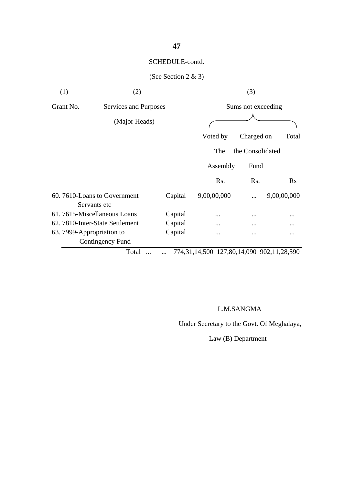### (See Section 2 & 3)

| (1)       | (2)                                         |         |                               | (3)                |             |
|-----------|---------------------------------------------|---------|-------------------------------|--------------------|-------------|
| Grant No. | Services and Purposes                       |         |                               | Sums not exceeding |             |
|           | (Major Heads)                               |         |                               |                    |             |
|           |                                             |         | Voted by                      | Charged on         | Total       |
|           |                                             |         | The                           | the Consolidated   |             |
|           |                                             |         | Assembly                      | Fund               |             |
|           |                                             |         | Rs.                           | R <sub>s</sub> .   | Rs          |
|           | 60.7610-Loans to Government<br>Servants etc | Capital | 9,00,00,000                   |                    | 9,00,00,000 |
|           | 61.7615-Miscellaneous Loans                 | Capital |                               |                    |             |
|           | 62. 7810-Inter-State Settlement             | Capital | $\ddotsc$                     |                    |             |
|           | 63. 7999-Appropriation to                   | Capital |                               | $\cdots$           | $\cdots$    |
|           | Contingency Fund                            |         |                               |                    |             |
|           |                                             |         | $-0.0$ $-0.0$ $-0.00$ $-0.00$ |                    |             |

Total ... ... 774,31,14,500 127,80,14,090 902,11,28,590

#### L.M.SANGMA

Under Secretary to the Govt. Of Meghalaya,

Law (B) Department

### **47**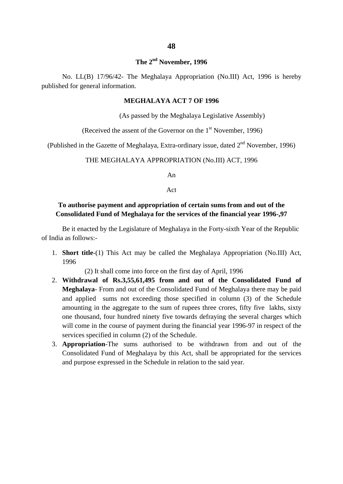#### **The 2nd November, 1996**

No. LL(B) 17/96/42- The Meghalaya Appropriation (No.III) Act, 1996 is hereby published for general information.

#### **MEGHALAYA ACT 7 OF 1996**

(As passed by the Meghalaya Legislative Assembly)

(Received the assent of the Governor on the  $1<sup>st</sup>$  November, 1996)

(Published in the Gazette of Meghalaya, Extra-ordinary issue, dated  $2<sup>nd</sup>$  November, 1996)

#### THE MEGHALAYA APPROPRIATION (No.III) ACT, 1996

An

Act

#### **To authorise payment and appropriation of certain sums from and out of the Consolidated Fund of Meghalaya for the services of the financial year 1996-,97**

Be it enacted by the Legislature of Meghalaya in the Forty-sixth Year of the Republic of India as follows:-

1. **Short title**-(1) This Act may be called the Meghalaya Appropriation (No.III) Act, 1996

(2) It shall come into force on the first day of April, 1996

- 2. **Withdrawal of Rs.3,55,61,495 from and out of the Consolidated Fund of Meghalaya**- From and out of the Consolidated Fund of Meghalaya there may be paid and applied sums not exceeding those specified in column (3) of the Schedule amounting in the aggregate to the sum of rupees three crores, fifty five lakhs, sixty one thousand, four hundred ninety five towards defraying the several charges which will come in the course of payment during the financial year 1996-97 in respect of the services specified in column (2) of the Schedule.
- 3. **Appropriation**-The sums authorised to be withdrawn from and out of the Consolidated Fund of Meghalaya by this Act, shall be appropriated for the services and purpose expressed in the Schedule in relation to the said year.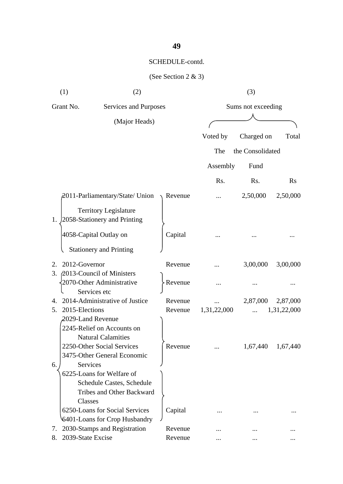| (1)                       | (2)                                                                                               |         |             | (3)                |             |
|---------------------------|---------------------------------------------------------------------------------------------------|---------|-------------|--------------------|-------------|
| Grant No.                 | Services and Purposes                                                                             |         |             | Sums not exceeding |             |
|                           | (Major Heads)                                                                                     |         |             |                    |             |
|                           |                                                                                                   |         | Voted by    | Charged on         | Total       |
|                           |                                                                                                   |         | The         | the Consolidated   |             |
|                           |                                                                                                   |         | Assembly    | Fund               |             |
|                           |                                                                                                   |         | Rs.         | Rs.                | $\rm Rs$    |
|                           |                                                                                                   |         |             |                    |             |
|                           | 2011-Parliamentary/State/ Union                                                                   | Revenue |             | 2,50,000           | 2,50,000    |
| 1.                        | <b>Territory Legislature</b><br>2058-Stationery and Printing                                      |         |             |                    |             |
|                           | 4058-Capital Outlay on                                                                            | Capital |             |                    |             |
|                           | <b>Stationery and Printing</b>                                                                    |         |             |                    |             |
| 2012-Governor<br>2.       |                                                                                                   | Revenue |             | 3,00,000           | 3,00,000    |
| 3.                        | 2013-Council of Ministers<br>2070-Other Administrative<br>Services etc                            | Revenue |             |                    |             |
| 4.                        | 2014-Administrative of Justice                                                                    | Revenue |             | 2,87,000           | 2,87,000    |
| 2015-Elections<br>5.      |                                                                                                   | Revenue | 1,31,22,000 |                    | 1,31,22,000 |
| 2029-Land Revenue         | 2245-Relief on Accounts on<br><b>Natural Calamities</b>                                           |         |             |                    |             |
|                           | 2250-Other Social Services<br>3475-Other General Economic                                         | Revenue |             | 1,67,440           | 1,67,440    |
| Services<br>6.<br>Classes | 6225-Loans for Welfare of<br><b>Schedule Castes, Schedule</b><br><b>Tribes and Other Backward</b> |         |             |                    |             |
|                           | 6250-Loans for Social Services<br>6401-Loans for Crop Husbandry                                   | Capital |             |                    |             |
| 7.                        | 2030-Stamps and Registration                                                                      | Revenue |             |                    |             |
| 2039-State Excise<br>8.   |                                                                                                   | Revenue |             |                    |             |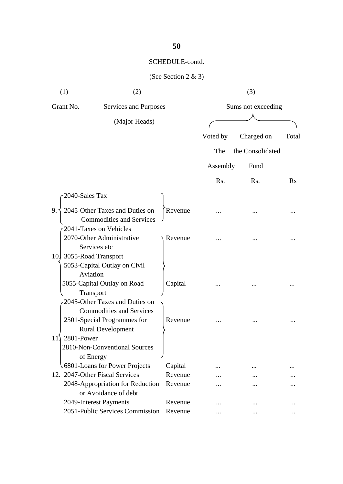| (1)                     | (2)                                                                 |         |          | (3)                |          |
|-------------------------|---------------------------------------------------------------------|---------|----------|--------------------|----------|
| Grant No.               | Services and Purposes                                               |         |          | Sums not exceeding |          |
|                         | (Major Heads)                                                       |         |          |                    |          |
|                         |                                                                     |         | Voted by | Charged on         | Total    |
|                         |                                                                     |         | The      | the Consolidated   |          |
|                         |                                                                     |         | Assembly | Fund               |          |
|                         |                                                                     |         | Rs.      | R <sub>s</sub> .   | $\rm Rs$ |
| 2040-Sales Tax          |                                                                     |         |          |                    |          |
| 9.                      | 2045-Other Taxes and Duties on<br><b>Commodities and Services</b>   | Revenue |          |                    |          |
|                         | 2041-Taxes on Vehicles<br>2070-Other Administrative<br>Services etc | Revenue |          |                    |          |
| 10. 3055-Road Transport | 5053-Capital Outlay on Civil<br>Aviation                            |         |          |                    |          |
|                         | 5055-Capital Outlay on Road<br>Transport                            | Capital |          |                    |          |
|                         | 2045-Other Taxes and Duties on<br><b>Commodities and Services</b>   |         |          |                    |          |
| 2801-Power<br>11        | 2501-Special Programmes for<br><b>Rural Development</b>             | Revenue |          |                    |          |
|                         | 2810-Non-Conventional Sources<br>of Energy                          |         |          |                    |          |
|                         | 6801-Loans for Power Projects                                       | Capital |          |                    |          |
|                         | 12. 2047-Other Fiscal Services                                      | Revenue |          |                    |          |
|                         | 2048-Appropriation for Reduction<br>or Avoidance of debt            | Revenue |          |                    |          |
|                         | 2049-Interest Payments                                              | Revenue |          |                    |          |
|                         | 2051-Public Services Commission                                     | Revenue |          |                    |          |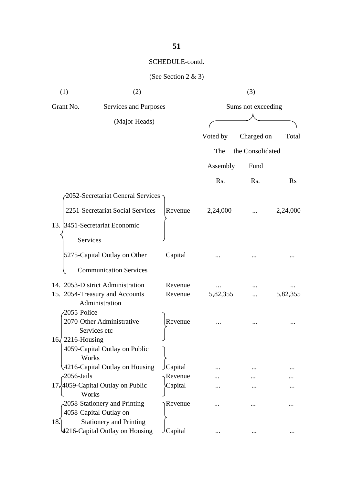| (1)             | (2)                                              |         |          | (3)                |           |
|-----------------|--------------------------------------------------|---------|----------|--------------------|-----------|
| Grant No.       | Services and Purposes                            |         |          | Sums not exceeding |           |
|                 | (Major Heads)                                    |         |          |                    |           |
|                 |                                                  |         | Voted by | Charged on         | Total     |
|                 |                                                  |         | The      | the Consolidated   |           |
|                 |                                                  |         | Assembly | Fund               |           |
|                 |                                                  |         | Rs.      | Rs.                | <b>Rs</b> |
|                 | 2052-Secretariat General Services                |         |          |                    |           |
|                 | 2251-Secretariat Social Services                 | Revenue | 2,24,000 |                    | 2,24,000  |
|                 | 13. 3451-Secretariat Economic                    |         |          |                    |           |
| Services        |                                                  |         |          |                    |           |
|                 | 5275-Capital Outlay on Other                     | Capital |          |                    |           |
|                 | <b>Communication Services</b>                    |         |          |                    |           |
|                 | 14. 2053-District Administration                 | Revenue |          |                    |           |
|                 | 15. 2054-Treasury and Accounts<br>Administration | Revenue | 5,82,355 | .                  | 5,82,355  |
| 2055-Police     |                                                  |         |          |                    |           |
|                 | 2070-Other Administrative<br>Services etc        | Revenue |          |                    |           |
| 16 2216-Housing |                                                  |         |          |                    |           |
| Works           | 4059-Capital Outlay on Public                    |         |          |                    |           |
|                 | 4216-Capital Outlay on Housing                   | Capital |          |                    |           |
| $-2056$ -Jails  |                                                  | Revenue |          |                    |           |
| Works           | 17,4059-Capital Outlay on Public                 | Capital |          |                    |           |
|                 | 2058-Stationery and Printing                     | Revenue |          |                    |           |
|                 | 4058-Capital Outlay on                           |         |          |                    |           |
| 18.             | <b>Stationery and Printing</b>                   |         |          |                    |           |
|                 | 4216-Capital Outlay on Housing                   | Capital | $\cdots$ | $\ddotsc$          |           |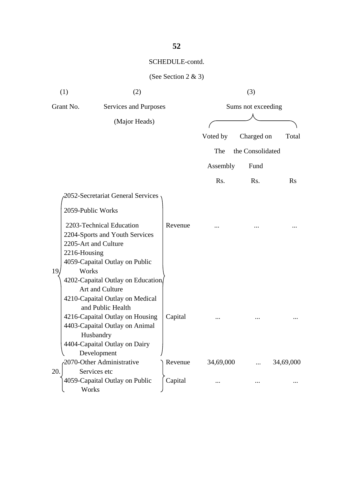| (1)          | (2)                                                        |         |           | (3)                |           |
|--------------|------------------------------------------------------------|---------|-----------|--------------------|-----------|
| Grant No.    | Services and Purposes                                      |         |           | Sums not exceeding |           |
|              | (Major Heads)                                              |         |           |                    |           |
|              |                                                            |         | Voted by  | Charged on         | Total     |
|              |                                                            |         | The       | the Consolidated   |           |
|              |                                                            |         | Assembly  | Fund               |           |
|              |                                                            |         | Rs.       | R <sub>s</sub> .   | $\rm Rs$  |
|              | 2052-Secretariat General Services                          |         |           |                    |           |
|              | 2059-Public Works                                          |         |           |                    |           |
|              | 2203-Technical Education<br>2204-Sports and Youth Services | Revenue |           |                    |           |
|              | 2205-Art and Culture                                       |         |           |                    |           |
| 2216-Housing |                                                            |         |           |                    |           |
|              | 4059-Capaital Outlay on Public                             |         |           |                    |           |
| Works<br>19. |                                                            |         |           |                    |           |
|              | 4202-Capaital Outlay on Education/                         |         |           |                    |           |
|              | Art and Culture                                            |         |           |                    |           |
|              | 4210-Capaital Outlay on Medical<br>and Public Health       |         |           |                    |           |
|              | 4216-Capaital Outlay on Housing                            | Capital |           |                    |           |
|              | 4403-Capaital Outlay on Animal                             |         |           |                    |           |
|              | Husbandry                                                  |         |           |                    |           |
|              | 4404-Capaital Outlay on Dairy                              |         |           |                    |           |
|              | Development                                                |         |           |                    |           |
|              | 2070-Other Administrative                                  | Revenue | 34,69,000 |                    | 34,69,000 |
| 20.          | Services etc                                               |         |           |                    |           |
| Works        | 4059-Capaital Outlay on Public                             | Capital |           |                    |           |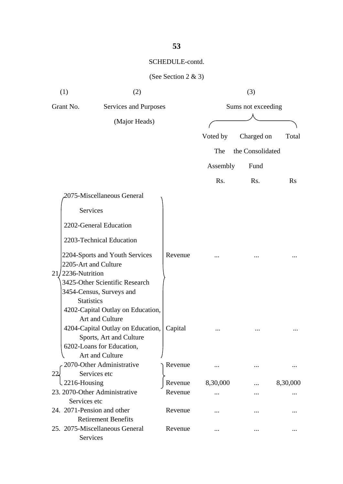| (1)                                       | (2)                                                                                                                                                                  |         |                    | (3)              |           |
|-------------------------------------------|----------------------------------------------------------------------------------------------------------------------------------------------------------------------|---------|--------------------|------------------|-----------|
| Grant No.                                 | Services and Purposes                                                                                                                                                |         | Sums not exceeding |                  |           |
|                                           | (Major Heads)                                                                                                                                                        |         |                    |                  |           |
|                                           |                                                                                                                                                                      |         | Voted by           | Charged on       | Total     |
|                                           |                                                                                                                                                                      |         | The                | the Consolidated |           |
|                                           |                                                                                                                                                                      |         | Assembly           | Fund             |           |
|                                           |                                                                                                                                                                      |         | Rs.                | Rs.              | <b>Rs</b> |
|                                           | 2075-Miscellaneous General                                                                                                                                           |         |                    |                  |           |
| Services                                  |                                                                                                                                                                      |         |                    |                  |           |
|                                           | 2202-General Education                                                                                                                                               |         |                    |                  |           |
|                                           | 2203-Technical Education                                                                                                                                             |         |                    |                  |           |
|                                           | 2204-Sports and Youth Services<br>2205-Art and Culture                                                                                                               | Revenue |                    |                  |           |
| $21/2236$ -Nutrition<br><b>Statistics</b> | 3425-Other Scientific Research<br>3454-Census, Surveys and                                                                                                           |         |                    |                  |           |
|                                           | 4202-Capital Outlay on Education,<br>Art and Culture<br>4204-Capital Outlay on Education,<br>Sports, Art and Culture<br>6202-Loans for Education,<br>Art and Culture | Capital |                    |                  |           |
|                                           | 2070-Other Administrative                                                                                                                                            | Revenue |                    |                  |           |
| 22<br>2216-Housing                        | Services etc                                                                                                                                                         | Revenue | 8,30,000           |                  | 8,30,000  |
| Services etc                              | 23. 2070-Other Administrative                                                                                                                                        | Revenue |                    |                  |           |
| 24. 2071-Pension and other                | <b>Retirement Benefits</b>                                                                                                                                           | Revenue |                    |                  |           |
| Services                                  | 25. 2075-Miscellaneous General                                                                                                                                       | Revenue |                    |                  |           |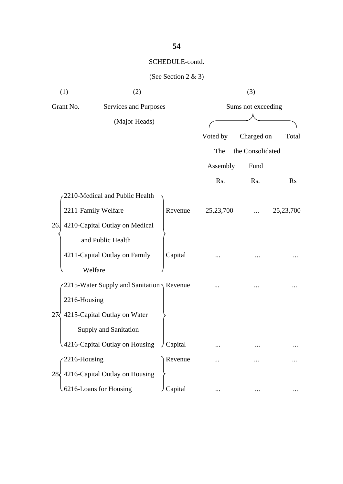| (1)          | (2)                                                  |           |           | (3)                |             |
|--------------|------------------------------------------------------|-----------|-----------|--------------------|-------------|
| Grant No.    | Services and Purposes                                |           |           | Sums not exceeding |             |
|              | (Major Heads)                                        |           |           |                    |             |
|              |                                                      |           | Voted by  | Charged on         | Total       |
|              |                                                      |           | The       | the Consolidated   |             |
|              |                                                      |           | Assembly  | Fund               |             |
|              |                                                      |           | Rs.       | Rs.                | <b>Rs</b>   |
|              | 2210-Medical and Public Health                       |           |           |                    |             |
|              | 2211-Family Welfare                                  | Revenue   | 25,23,700 |                    | 25, 23, 700 |
| 26.          | 4210-Capital Outlay on Medical                       |           |           |                    |             |
|              | and Public Health                                    |           |           |                    |             |
|              | 4211-Capital Outlay on Family                        | Capital   |           |                    |             |
|              | Welfare                                              |           |           |                    |             |
|              | 2215-Water Supply and Sanitation $\setminus$ Revenue |           |           |                    |             |
| 2216-Housing |                                                      |           |           |                    |             |
| 27           | 4215-Capital Outlay on Water                         |           |           |                    |             |
|              | Supply and Sanitation                                |           |           |                    |             |
|              | 4216-Capital Outlay on Housing                       | J Capital |           |                    |             |
| 2216-Housing |                                                      | Revenue   |           |                    |             |
|              | 28 4216-Capital Outlay on Housing                    |           |           |                    |             |
|              | 6216-Loans for Housing                               | Capital   |           |                    |             |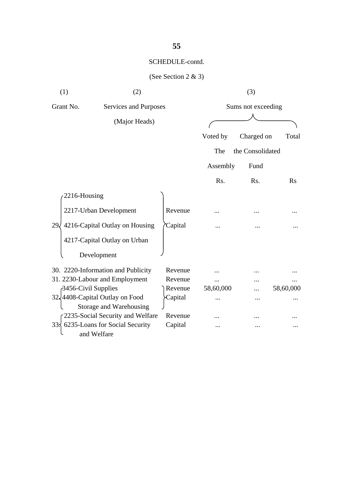| (1)                 | (2)                                                       |         |           | (3)                |           |
|---------------------|-----------------------------------------------------------|---------|-----------|--------------------|-----------|
| Grant No.           | Services and Purposes                                     |         |           | Sums not exceeding |           |
|                     | (Major Heads)                                             |         |           |                    |           |
|                     |                                                           |         | Voted by  | Charged on         | Total     |
|                     |                                                           |         | The       | the Consolidated   |           |
|                     |                                                           |         | Assembly  | Fund               |           |
|                     |                                                           |         | Rs.       | Rs.                | <b>Rs</b> |
| 2216-Housing        |                                                           |         |           |                    |           |
|                     | 2217-Urban Development                                    | Revenue |           |                    |           |
| 29.                 | 4216-Capital Outlay on Housing                            | Capital |           |                    |           |
|                     | 4217-Capital Outlay on Urban                              |         |           |                    |           |
|                     | Development                                               |         |           |                    |           |
|                     | 30. 2220-Information and Publicity                        | Revenue |           |                    |           |
|                     | 31. 2230-Labour and Employment                            | Revenue | .         |                    |           |
| 3456-Civil Supplies |                                                           | Revenue | 58,60,000 |                    | 58,60,000 |
|                     | 32,4408-Capital Outlay on Food<br>Storage and Warehousing | Capital |           |                    |           |
|                     | 2235-Social Security and Welfare                          | Revenue |           |                    |           |
| 333                 | 6235-Loans for Social Security                            | Capital | $\ddotsc$ |                    |           |
|                     | and Welfare                                               |         |           |                    |           |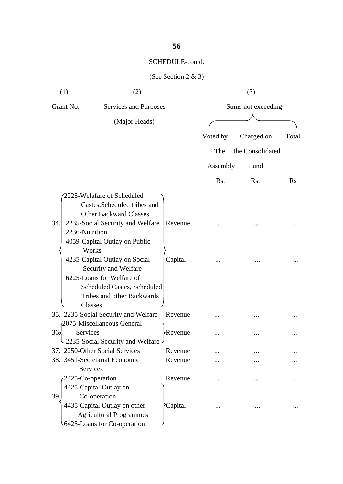| (1)                                         | (2)                                                                                                                                                                                                  |                     |          | (3)                |          |
|---------------------------------------------|------------------------------------------------------------------------------------------------------------------------------------------------------------------------------------------------------|---------------------|----------|--------------------|----------|
| Grant No.                                   | Services and Purposes                                                                                                                                                                                |                     |          | Sums not exceeding |          |
|                                             | (Major Heads)                                                                                                                                                                                        |                     |          |                    |          |
|                                             |                                                                                                                                                                                                      |                     | Voted by | Charged on         | Total    |
|                                             |                                                                                                                                                                                                      |                     | The      | the Consolidated   |          |
|                                             |                                                                                                                                                                                                      |                     | Assembly | Fund               |          |
|                                             |                                                                                                                                                                                                      |                     |          |                    |          |
|                                             |                                                                                                                                                                                                      |                     | Rs.      | Rs.                | $\rm Rs$ |
| 34.<br>2236-Nutrition                       | 2225-Welafare of Scheduled<br>Castes, Scheduled tribes and<br>Other Backward Classes.<br>2235-Social Security and Welfare<br>4059-Capital Outlay on Public<br>Works<br>4235-Capital Outlay on Social | Revenue<br>Capital  |          |                    |          |
|                                             | Security and Welfare<br>6225-Loans for Welfare of<br>Scheduled Castes, Scheduled<br>Tribes and other Backwards<br>Classes                                                                            | Revenue             |          |                    |          |
|                                             | 35. 2235-Social Security and Welfare<br>2075-Miscellaneous General                                                                                                                                   |                     |          |                    |          |
| 36 <sub>5</sub><br>Services                 | 2235-Social Security and Welfare                                                                                                                                                                     | Revenue <sup></sup> |          |                    |          |
|                                             | 37. 2250-Other Social Services                                                                                                                                                                       | Revenue             |          |                    |          |
|                                             | 38. 3451-Secretariat Economic                                                                                                                                                                        | Revenue             |          |                    |          |
| <b>Services</b><br>2425-Co-operation<br>39. | 4425-Capital Outlay on<br>Co-operation                                                                                                                                                               | Revenue             |          |                    |          |
|                                             | 4435-Capital Outlay on other<br><b>Agricultural Programmes</b><br>6425-Loans for Co-operation                                                                                                        | Capital             |          |                    |          |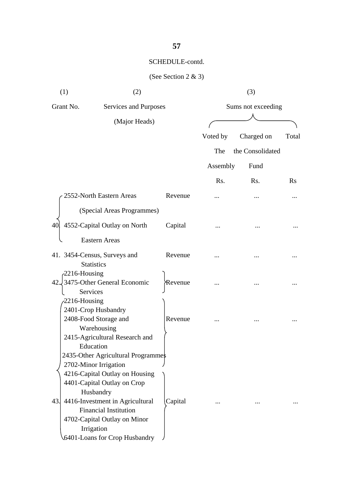| (1)                     | (2)                                                                                                                                                                                                                                                                                          |         |          | (3)                |           |
|-------------------------|----------------------------------------------------------------------------------------------------------------------------------------------------------------------------------------------------------------------------------------------------------------------------------------------|---------|----------|--------------------|-----------|
| Grant No.               | Services and Purposes                                                                                                                                                                                                                                                                        |         |          | Sums not exceeding |           |
|                         | (Major Heads)                                                                                                                                                                                                                                                                                |         |          |                    |           |
|                         |                                                                                                                                                                                                                                                                                              |         | Voted by | Charged on         | Total     |
|                         |                                                                                                                                                                                                                                                                                              |         | The      | the Consolidated   |           |
|                         |                                                                                                                                                                                                                                                                                              |         | Assembly | Fund               |           |
|                         |                                                                                                                                                                                                                                                                                              |         | Rs.      | Rs.                | <b>Rs</b> |
|                         | 2552-North Eastern Areas                                                                                                                                                                                                                                                                     | Revenue |          |                    |           |
|                         | (Special Areas Programmes)                                                                                                                                                                                                                                                                   |         |          |                    |           |
|                         |                                                                                                                                                                                                                                                                                              |         |          |                    |           |
| 40                      | 4552-Capital Outlay on North                                                                                                                                                                                                                                                                 | Capital |          |                    |           |
|                         | <b>Eastern Areas</b>                                                                                                                                                                                                                                                                         |         |          |                    |           |
|                         | 41. 3454-Census, Surveys and<br><b>Statistics</b>                                                                                                                                                                                                                                            | Revenue |          |                    |           |
| $-2216$ -Housing<br>42. | 3475-Other General Economic<br><b>Services</b>                                                                                                                                                                                                                                               | Revenue |          |                    |           |
| 2216-Housing            | 2401-Crop Husbandry<br>2408-Food Storage and<br>Warehousing<br>2415-Agricultural Research and<br>Education                                                                                                                                                                                   | Revenue |          |                    |           |
| 43.                     | 2435-Other Agricultural Programme\$<br>2702-Minor Irrigation<br>4216-Capital Outlay on Housing<br>4401-Capital Outlay on Crop<br>Husbandry<br>4416-Investment in Agricultural<br><b>Financial Institution</b><br>4702-Capital Outlay on Minor<br>Irrigation<br>6401-Loans for Crop Husbandry | Capital | $\cdots$ |                    |           |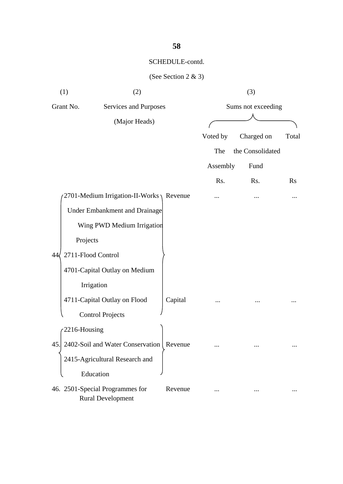| (1)                      | (2)                                                         |         |          | (3)                |                |
|--------------------------|-------------------------------------------------------------|---------|----------|--------------------|----------------|
| Grant No.                | Services and Purposes                                       |         |          | Sums not exceeding |                |
|                          | (Major Heads)                                               |         |          |                    |                |
|                          |                                                             |         | Voted by | Charged on         | Total          |
|                          |                                                             |         | The      | the Consolidated   |                |
|                          |                                                             |         | Assembly | Fund               |                |
|                          |                                                             |         | Rs.      | Rs.                | $\mathbf{R}$ s |
|                          | 2701-Medium Irrigation-II-Works $\setminus$ Revenue         |         |          |                    |                |
|                          | Under Embankment and Drainage                               |         |          |                    |                |
|                          | Wing PWD Medium Irrigation                                  |         |          |                    |                |
| Projects                 |                                                             |         |          |                    |                |
| 2711-Flood Control<br>44 |                                                             |         |          |                    |                |
|                          | 4701-Capital Outlay on Medium                               |         |          |                    |                |
|                          | Irrigation                                                  |         |          |                    |                |
|                          | 4711-Capital Outlay on Flood                                | Capital |          |                    |                |
|                          | <b>Control Projects</b>                                     |         |          |                    |                |
| 2216-Housing             |                                                             |         |          |                    |                |
| 45.                      | 2402-Soil and Water Conservation   Revenue                  |         |          |                    |                |
|                          | 2415-Agricultural Research and                              |         |          |                    |                |
|                          | Education                                                   |         |          |                    |                |
|                          | 46. 2501-Special Programmes for<br><b>Rural Development</b> | Revenue |          |                    |                |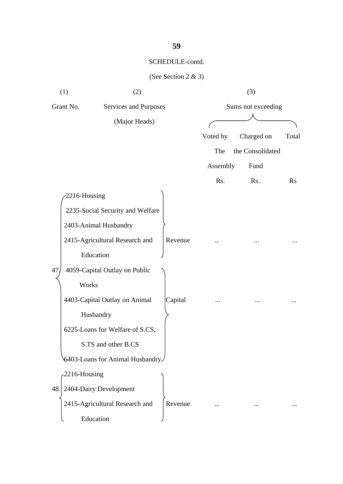| (1)             | (2)                              |         |          | (3)                |          |  |
|-----------------|----------------------------------|---------|----------|--------------------|----------|--|
| Grant No.       | <b>Services and Purposes</b>     |         |          | Sums not exceeding |          |  |
|                 | (Major Heads)                    |         |          |                    |          |  |
|                 |                                  |         | Voted by | Charged on         | Total    |  |
|                 |                                  |         | The      | the Consolidated   |          |  |
|                 |                                  |         | Assembly | Fund               |          |  |
|                 |                                  |         | Rs.      | Rs.                | $\rm Rs$ |  |
| 2216-Housing    |                                  |         |          |                    |          |  |
|                 | 2235-Social Security and Welfare |         |          |                    |          |  |
|                 | 2403-Animal Husbandry            |         |          |                    |          |  |
|                 | 2415-Agricultural Research and   | Revenue |          |                    |          |  |
|                 | Education                        |         |          |                    |          |  |
| 47.             | 4059-Capital Outlay on Public    |         |          |                    |          |  |
| Works           |                                  |         |          |                    |          |  |
|                 | 4403-Capital Outlay on Animal    | Capital |          |                    |          |  |
|                 | Husbandry                        |         |          |                    |          |  |
|                 | 6225-Loans for Welfare of S.CS,  |         |          |                    |          |  |
|                 | S.TS and other B.CS              |         |          |                    |          |  |
|                 | 6403-Loans for Animal Husbandry  |         |          |                    |          |  |
| $2216$ -Housing |                                  |         |          |                    |          |  |
|                 | 48. 2404-Dairy Development       |         |          |                    |          |  |
|                 | 2415-Agricultural Research and   | Revenue |          |                    |          |  |
|                 | Education                        |         |          |                    |          |  |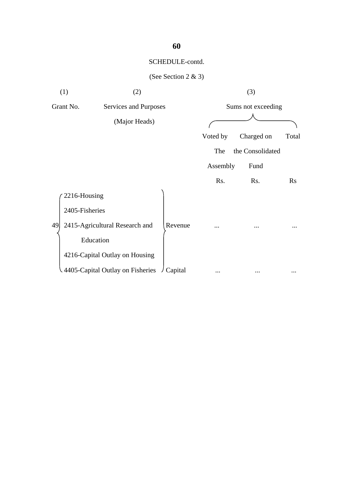|    | (1)            | (2)                              |         |          | (3)                |       |
|----|----------------|----------------------------------|---------|----------|--------------------|-------|
|    | Grant No.      | Services and Purposes            |         |          | Sums not exceeding |       |
|    |                | (Major Heads)                    |         |          |                    |       |
|    |                |                                  |         | Voted by | Charged on         | Total |
|    |                |                                  |         | The      | the Consolidated   |       |
|    |                |                                  |         | Assembly | Fund               |       |
|    |                |                                  |         | Rs.      | Rs.                | Rs    |
|    | 2216-Housing   |                                  |         |          |                    |       |
|    | 2405-Fisheries |                                  |         |          |                    |       |
| 49 |                | 2415-Agricultural Research and   | Revenue |          | .                  |       |
|    | Education      |                                  |         |          |                    |       |
|    |                | 4216-Capital Outlay on Housing   |         |          |                    |       |
|    |                | 4405-Capital Outlay on Fisheries | Capital |          |                    |       |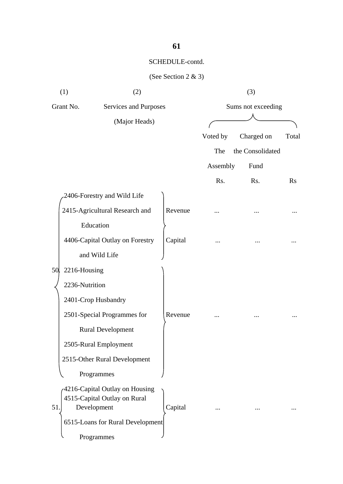| (1)              | (2)                                                                           |         |                    | (3)              |           |  |
|------------------|-------------------------------------------------------------------------------|---------|--------------------|------------------|-----------|--|
| Grant No.        | Services and Purposes                                                         |         | Sums not exceeding |                  |           |  |
|                  | (Major Heads)                                                                 |         |                    |                  |           |  |
|                  |                                                                               |         | Voted by           | Charged on       | Total     |  |
|                  |                                                                               |         | The                | the Consolidated |           |  |
|                  |                                                                               |         | Assembly           | Fund             |           |  |
|                  |                                                                               |         | Rs.                | Rs.              | <b>Rs</b> |  |
|                  | 2406-Forestry and Wild Life                                                   |         |                    |                  |           |  |
|                  | 2415-Agricultural Research and                                                | Revenue |                    |                  |           |  |
|                  | Education                                                                     |         |                    |                  |           |  |
|                  | 4406-Capital Outlay on Forestry                                               | Capital |                    |                  |           |  |
|                  | and Wild Life                                                                 |         |                    |                  |           |  |
| 50. 2216-Housing |                                                                               |         |                    |                  |           |  |
| 2236-Nutrition   |                                                                               |         |                    |                  |           |  |
|                  | 2401-Crop Husbandry                                                           |         |                    |                  |           |  |
|                  | 2501-Special Programmes for                                                   | Revenue |                    |                  |           |  |
|                  | <b>Rural Development</b>                                                      |         |                    |                  |           |  |
|                  | 2505-Rural Employment                                                         |         |                    |                  |           |  |
|                  | 2515-Other Rural Development                                                  |         |                    |                  |           |  |
|                  | Programmes                                                                    |         |                    |                  |           |  |
| 51               | 4216-Capital Outlay on Housing<br>4515-Capital Outlay on Rural<br>Development | Capital |                    |                  |           |  |
|                  | 6515-Loans for Rural Development                                              |         |                    |                  |           |  |
|                  | Programmes                                                                    |         |                    |                  |           |  |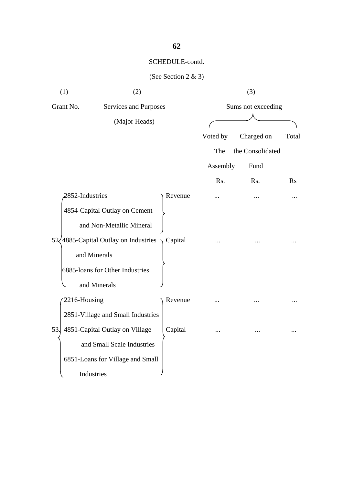| (1)             | (2)                                           |         |                    | (3)              |       |  |
|-----------------|-----------------------------------------------|---------|--------------------|------------------|-------|--|
| Grant No.       | Services and Purposes                         |         | Sums not exceeding |                  |       |  |
|                 | (Major Heads)                                 |         |                    |                  |       |  |
|                 |                                               |         | Voted by           | Charged on       | Total |  |
|                 |                                               |         | The                | the Consolidated |       |  |
|                 |                                               |         | Assembly           | Fund             |       |  |
|                 |                                               |         | Rs.                | Rs.              | Rs    |  |
| 2852-Industries |                                               | Revenue |                    |                  |       |  |
|                 | 4854-Capital Outlay on Cement                 |         |                    |                  |       |  |
|                 | and Non-Metallic Mineral                      |         |                    |                  |       |  |
|                 | $52\sqrt{4885}$ -Capital Outlay on Industries | Capital |                    |                  |       |  |
|                 | and Minerals                                  |         |                    |                  |       |  |
|                 | 6885-loans for Other Industries               |         |                    |                  |       |  |
|                 | and Minerals                                  |         |                    |                  |       |  |
| 2216-Housing    |                                               | Revenue |                    |                  |       |  |
|                 | 2851-Village and Small Industries             |         |                    |                  |       |  |
| 53.             | 4851-Capital Outlay on Village                | Capital |                    |                  |       |  |
|                 | and Small Scale Industries                    |         |                    |                  |       |  |
|                 | 6851-Loans for Village and Small              |         |                    |                  |       |  |
|                 | Industries                                    |         |                    |                  |       |  |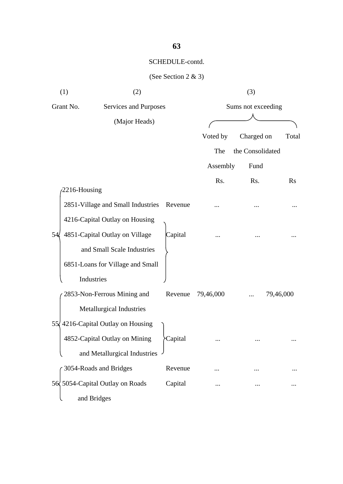| (1)          | (2)                                |         |                    | (3)              |           |
|--------------|------------------------------------|---------|--------------------|------------------|-----------|
| Grant No.    | Services and Purposes              |         | Sums not exceeding |                  |           |
|              | (Major Heads)                      |         |                    |                  |           |
|              |                                    |         | Voted by           | Charged on       | Total     |
|              |                                    |         | The                | the Consolidated |           |
|              |                                    |         | Assembly           | Fund             |           |
|              |                                    |         | Rs.                | Rs.              | <b>Rs</b> |
| 2216-Housing |                                    |         |                    |                  |           |
|              | 2851-Village and Small Industries  | Revenue |                    |                  |           |
|              | 4216-Capital Outlay on Housing     |         |                    |                  |           |
| 54ľ          | 4851-Capital Outlay on Village     | Capital |                    |                  |           |
|              | and Small Scale Industries         |         |                    |                  |           |
|              | 6851-Loans for Village and Small   |         |                    |                  |           |
|              | Industries                         |         |                    |                  |           |
|              | 2853-Non-Ferrous Mining and        | Revenue | 79,46,000          |                  | 79,46,000 |
|              | <b>Metallurgical Industries</b>    |         |                    |                  |           |
|              | 55, 4216-Capital Outlay on Housing |         |                    |                  |           |
|              | 4852-Capital Outlay on Mining      | Capital |                    |                  |           |
|              | and Metallurgical Industries       |         |                    |                  |           |
|              | 3054-Roads and Bridges             | Revenue |                    |                  |           |
|              | 56 5054-Capital Outlay on Roads    | Capital |                    |                  |           |
|              | and Bridges                        |         |                    |                  |           |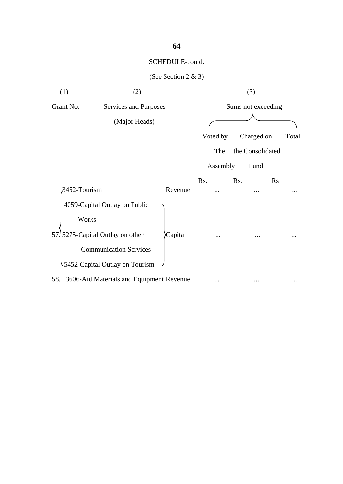| (1)                                          | (2)     |           | (3)                |       |
|----------------------------------------------|---------|-----------|--------------------|-------|
| Grant No.<br>Services and Purposes           |         |           | Sums not exceeding |       |
| (Major Heads)                                |         |           |                    |       |
|                                              |         | Voted by  | Charged on         | Total |
|                                              |         | The       | the Consolidated   |       |
|                                              |         | Assembly  | Fund               |       |
|                                              |         | Rs.       | Rs.<br><b>Rs</b>   |       |
| $\beta$ 452-Tourism                          | Revenue |           |                    |       |
| 4059-Capital Outlay on Public                |         |           |                    |       |
| Works                                        |         |           |                    |       |
| 57. 5275-Capital Outlay on other             | Capital |           |                    |       |
| <b>Communication Services</b>                |         |           |                    |       |
| 5452-Capital Outlay on Tourism               |         |           |                    |       |
| 58. 3606-Aid Materials and Equipment Revenue |         | $\ddotsc$ | $\ddotsc$          |       |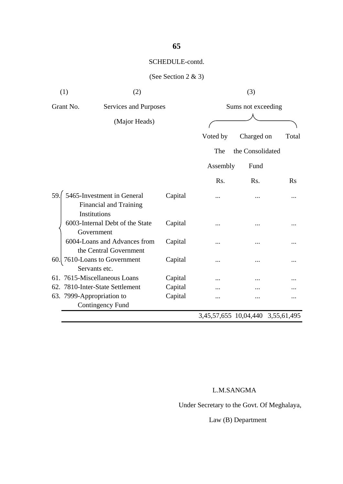# (See Section 2 & 3)

|               | (1)<br>(2)                                                  |                       | (3)      |                                   |       |  |
|---------------|-------------------------------------------------------------|-----------------------|----------|-----------------------------------|-------|--|
|               | Grant No.                                                   | Services and Purposes |          | Sums not exceeding                |       |  |
| (Major Heads) |                                                             |                       |          |                                   |       |  |
|               |                                                             |                       |          |                                   |       |  |
|               |                                                             |                       | Voted by | Charged on                        | Total |  |
|               |                                                             |                       | The      | the Consolidated                  |       |  |
|               |                                                             |                       | Assembly | Fund                              |       |  |
|               |                                                             |                       | Rs.      | R <sub>s</sub> .                  | Rs    |  |
| 59.           | 5465-Investment in General<br><b>Financial and Training</b> | Capital               |          |                                   |       |  |
|               | Institutions                                                |                       |          |                                   |       |  |
|               | 6003-Internal Debt of the State<br>Government               | Capital               |          |                                   |       |  |
|               | 6004-Loans and Advances from<br>the Central Government      | Capital               |          |                                   |       |  |
| 60.           | 7610-Loans to Government<br>Servants etc.                   | Capital               |          |                                   |       |  |
|               | 61. 7615-Miscellaneous Loans<br>Capital                     |                       |          |                                   |       |  |
|               | 62. 7810-Inter-State Settlement                             | Capital               |          |                                   |       |  |
|               | 63. 7999-Appropriation to                                   | Capital               |          |                                   |       |  |
|               | Contingency Fund                                            |                       |          |                                   |       |  |
|               |                                                             |                       |          | 3,45,57,655 10,04,440 3,55,61,495 |       |  |

### L.M.SANGMA

Under Secretary to the Govt. Of Meghalaya,

Law (B) Department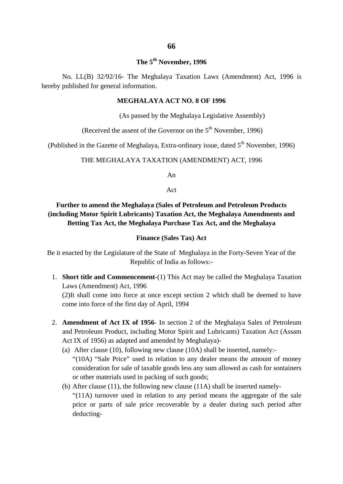### **The 5th November, 1996**

No. LL(B) 32/92/16- The Meghalaya Taxation Laws (Amendment) Act, 1996 is hereby published for general information.

#### **MEGHALAYA ACT NO. 8 OF 1996**

(As passed by the Meghalaya Legislative Assembly)

(Received the assent of the Governor on the  $5<sup>th</sup>$  November, 1996)

(Published in the Gazette of Meghalaya, Extra-ordinary issue, dated  $5<sup>th</sup>$  November, 1996)

#### THE MEGHALAYA TAXATION (AMENDMENT) ACT, 1996

An

Act

#### **Further to amend the Meghalaya (Sales of Petroleum and Petroleum Products (including Motor Spirit Lubricants) Taxation Act, the Meghalaya Amendments and Betting Tax Act, the Meghalaya Purchase Tax Act, and the Meghalaya**

#### **Finance (Sales Tax) Act**

Be it enacted by the Legislature of the State of Meghalaya in the Forty-Seven Year of the Republic of India as follows:-

1. **Short title and Commencement**-(1) This Act may be called the Meghalaya Taxation Laws (Amendment) Act, 1996 (2)It shall come into force at once except section 2 which shall be deemed to have come into force of the first day of April, 1994

2. **Amendment of Act IX of 1956**- In section 2 of the Meghalaya Sales of Petroleum and Petroleum Product, including Motor Spirit and Lubricants) Taxation Act (Assam Act IX of 1956) as adapted and amended by Meghalaya)-

- (a) After clause (10), following new clause (10A) shall be inserted, namely:- "(10A) "Sale Price" used in relation to any dealer means the amount of money consideration for sale of taxable goods less any sum allowed as cash for sontainers or other materials used in packing of such goods;
- (b) After clause (11), the following new clause (11A) shall be inserted namely- "(11A) turnover used in relation to any period means the aggregate of the sale price or parts of sale price recoverable by a dealer during such period after deducting-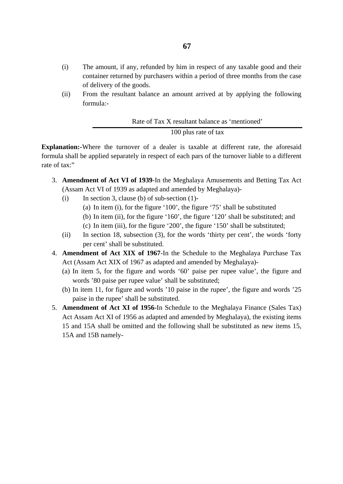- (i) The amount, if any, refunded by him in respect of any taxable good and their container returned by purchasers within a period of three months from the case of delivery of the goods.
- (ii) From the resultant balance an amount arrived at by applying the following formula:-

Rate of Tax X resultant balance as 'mentioned' 100 plus rate of tax

**Explanation:-**Where the turnover of a dealer is taxable at different rate, the aforesaid formula shall be applied separately in respect of each pars of the turnover liable to a different rate of tax:"

- 3. **Amendment of Act VI of 1939**-In the Meghalaya Amusements and Betting Tax Act (Assam Act VI of 1939 as adapted and amended by Meghalaya)-
	- (i) In section 3, clause (b) of sub-section  $(1)$ -
		- (a) In item (i), for the figure '100', the figure '75' shall be substituted
		- (b) In item (ii), for the figure '160', the figure '120' shall be substituted; and
		- (c) In item (iii), for the figure '200', the figure '150' shall be substituted;
	- (ii) In section 18, subsection (3), for the words 'thirty per cent', the words 'forty per cent' shall be substituted.
- 4. **Amendment of Act XIX of 1967**-In the Schedule to the Meghalaya Purchase Tax Act (Assam Act XIX of 1967 as adapted and amended by Meghalaya)-
	- (a) In item 5, for the figure and words '60' paise per rupee value', the figure and words '80 paise per rupee value' shall be substituted;
	- (b) In item 11, for figure and words '10 paise in the rupee', the figure and words '25 paise in the rupee' shall be substituted.
- 5. **Amendment of Act XI of 1956-**In Schedule to the Meghalaya Finance (Sales Tax) Act Assam Act XI of 1956 as adapted and amended by Meghalaya), the existing items 15 and 15A shall be omitted and the following shall be substituted as new items 15, 15A and 15B namely-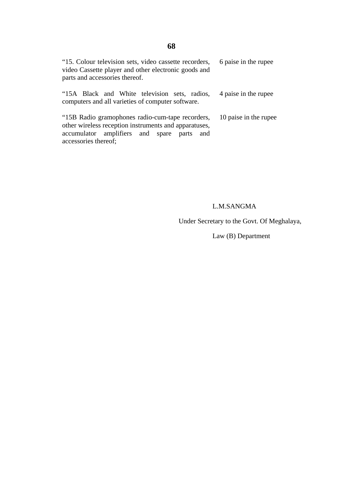#### "15. Colour television sets, video cassette recorders, video Cassette player and other electronic goods and parts and accessories thereof. 6 paise in the rupee

|  |  |                                                   |  | "15A Black and White television sets, radios, 4 paise in the rupee |
|--|--|---------------------------------------------------|--|--------------------------------------------------------------------|
|  |  | computers and all varieties of computer software. |  |                                                                    |

"15B Radio gramophones radio-cum-tape recorders, other wireless reception instruments and apparatuses, accumulator amplifiers and spare parts and accessories thereof; 10 paise in the rupee

#### L.M.SANGMA

Under Secretary to the Govt. Of Meghalaya,

Law (B) Department

#### **68**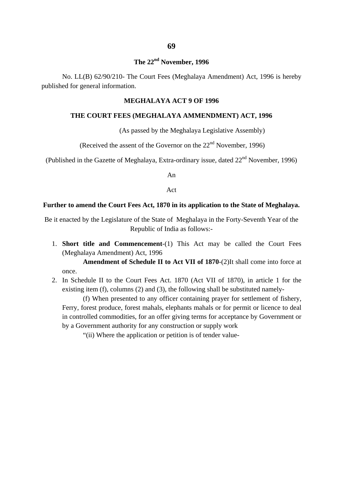#### **The 22nd November, 1996**

No. LL(B) 62/90/210- The Court Fees (Meghalaya Amendment) Act, 1996 is hereby published for general information.

#### **MEGHALAYA ACT 9 OF 1996**

#### **THE COURT FEES (MEGHALAYA AMMENDMENT) ACT, 1996**

(As passed by the Meghalaya Legislative Assembly)

(Received the assent of the Governor on the  $22<sup>nd</sup>$  November, 1996)

(Published in the Gazette of Meghalaya, Extra-ordinary issue, dated  $22<sup>nd</sup>$  November, 1996)

An

Act

#### **Further to amend the Court Fees Act, 1870 in its application to the State of Meghalaya.**

Be it enacted by the Legislature of the State of Meghalaya in the Forty-Seventh Year of the Republic of India as follows:-

1. **Short title and Commencement**-(1) This Act may be called the Court Fees (Meghalaya Amendment) Act, 1996

**Amendment of Schedule II to Act VII of 1870**-(2)It shall come into force at once.

2. In Schedule II to the Court Fees Act. 1870 (Act VII of 1870), in article 1 for the existing item (f), columns (2) and (3), the following shall be substituted namely-

(f) When presented to any officer containing prayer for settlement of fishery, Ferry, forest produce, forest mahals, elephants mahals or for permit or licence to deal in controlled commodities, for an offer giving terms for acceptance by Government or by a Government authority for any construction or supply work

"(ii) Where the application or petition is of tender value-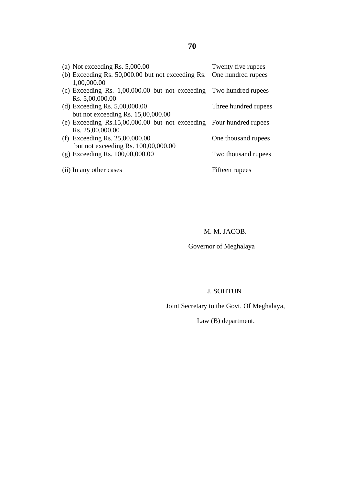| (a) Not exceeding Rs. $5,000.00$                                     | Twenty five rupees   |
|----------------------------------------------------------------------|----------------------|
| (b) Exceeding Rs. 50,000.00 but not exceeding Rs. One hundred rupees |                      |
| 1,00,000.00                                                          |                      |
| (c) Exceeding Rs. 1,00,000.00 but not exceeding Two hundred rupees   |                      |
| Rs. 5,00,000.00                                                      |                      |
| (d) Exceeding Rs. $5,00,000.00$                                      | Three hundred rupees |
| but not exceeding Rs. 15,00,000.00                                   |                      |
| (e) Exceeding Rs.15,00,000.00 but not exceeding Four hundred rupees  |                      |
| Rs. 25,00,000.00                                                     |                      |
| (f) Exceeding Rs. $25,00,000.00$                                     | One thousand rupees  |
| but not exceeding Rs. $100,00,000.00$                                |                      |
| $(g)$ Exceeding Rs. $100,00,000.00$                                  | Two thousand rupees  |
|                                                                      |                      |
| (ii) In any other cases                                              | Fifteen rupees       |
|                                                                      |                      |

M. M. JACOB.

Governor of Meghalaya

### J. SOHTUN

Joint Secretary to the Govt. Of Meghalaya,

Law (B) department.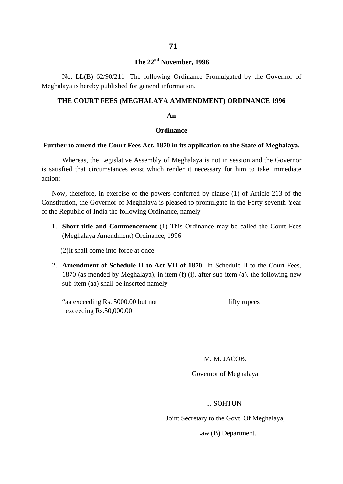## **The 22nd November, 1996**

No. LL(B) 62/90/211- The following Ordinance Promulgated by the Governor of Meghalaya is hereby published for general information.

## **THE COURT FEES (MEGHALAYA AMMENDMENT) ORDINANCE 1996**

#### **An**

#### **Ordinance**

#### **Further to amend the Court Fees Act, 1870 in its application to the State of Meghalaya.**

Whereas, the Legislative Assembly of Meghalaya is not in session and the Governor is satisfied that circumstances exist which render it necessary for him to take immediate action:

Now, therefore, in exercise of the powers conferred by clause (1) of Article 213 of the Constitution, the Governor of Meghalaya is pleased to promulgate in the Forty-seventh Year of the Republic of India the following Ordinance, namely-

1. **Short title and Commencement**-(1) This Ordinance may be called the Court Fees (Meghalaya Amendment) Ordinance, 1996

(2)It shall come into force at once.

2. **Amendment of Schedule II to Act VII of 1870-** In Schedule II to the Court Fees, 1870 (as mended by Meghalaya), in item (f) (i), after sub-item (a), the following new sub-item (aa) shall be inserted namely-

| "aa exceeding Rs. 5000.00 but not | fifty rupees |
|-----------------------------------|--------------|
| exceeding $Rs.50,000.00$          |              |

M. M. JACOB.

Governor of Meghalaya

#### J. SOHTUN

Joint Secretary to the Govt. Of Meghalaya,

Law (B) Department.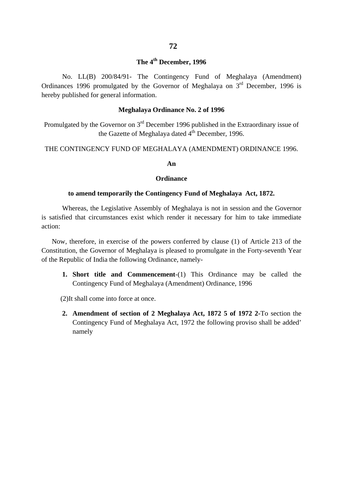# **The 4th December, 1996**

No. LL(B) 200/84/91- The Contingency Fund of Meghalaya (Amendment) Ordinances 1996 promulgated by the Governor of Meghalaya on  $3<sup>rd</sup>$  December, 1996 is hereby published for general information.

## **Meghalaya Ordinance No. 2 of 1996**

Promulgated by the Governor on 3rd December 1996 published in the Extraordinary issue of the Gazette of Meghalaya dated  $4^{\text{th}}$  December, 1996.

THE CONTINGENCY FUND OF MEGHALAYA (AMENDMENT) ORDINANCE 1996.

#### **An**

#### **Ordinance**

#### **to amend temporarily the Contingency Fund of Meghalaya Act, 1872.**

Whereas, the Legislative Assembly of Meghalaya is not in session and the Governor is satisfied that circumstances exist which render it necessary for him to take immediate action:

Now, therefore, in exercise of the powers conferred by clause (1) of Article 213 of the Constitution, the Governor of Meghalaya is pleased to promulgate in the Forty-seventh Year of the Republic of India the following Ordinance, namely-

**1. Short title and Commencement**-(1) This Ordinance may be called the Contingency Fund of Meghalaya (Amendment) Ordinance, 1996

(2)It shall come into force at once.

**2. Amendment of section of 2 Meghalaya Act, 1872 5 of 1972 2-**To section the Contingency Fund of Meghalaya Act, 1972 the following proviso shall be added' namely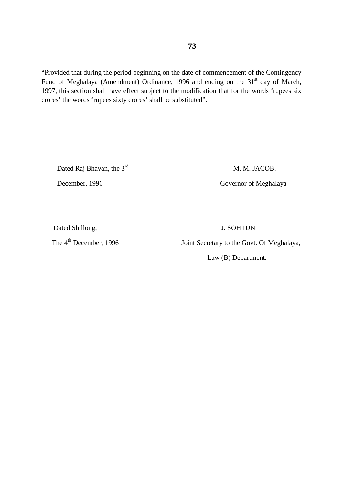"Provided that during the period beginning on the date of commencement of the Contingency Fund of Meghalaya (Amendment) Ordinance, 1996 and ending on the 31<sup>st</sup> day of March, 1997, this section shall have effect subject to the modification that for the words 'rupees six crores' the words 'rupees sixty crores' shall be substituted".

Dated Raj Bhavan, the 3<sup>rd</sup> M. M. JACOB.

December, 1996 Governor of Meghalaya

Dated Shillong, J. SOHTUN

The 4<sup>th</sup> December, 1996 Joint Secretary to the Govt. Of Meghalaya,

Law (B) Department.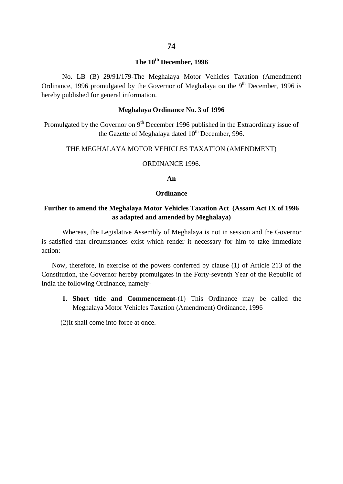## **The 10th December, 1996**

No. LB (B) 29/91/179-The Meghalaya Motor Vehicles Taxation (Amendment) Ordinance, 1996 promulgated by the Governor of Meghalaya on the  $9<sup>th</sup>$  December, 1996 is hereby published for general information.

## **Meghalaya Ordinance No. 3 of 1996**

Promulgated by the Governor on 9<sup>th</sup> December 1996 published in the Extraordinary issue of the Gazette of Meghalaya dated  $10^{th}$  December, 996.

## THE MEGHALAYA MOTOR VEHICLES TAXATION (AMENDMENT)

### ORDINANCE 1996.

#### **An**

#### **Ordinance**

## **Further to amend the Meghalaya Motor Vehicles Taxation Act (Assam Act IX of 1996 as adapted and amended by Meghalaya)**

Whereas, the Legislative Assembly of Meghalaya is not in session and the Governor is satisfied that circumstances exist which render it necessary for him to take immediate action:

Now, therefore, in exercise of the powers conferred by clause (1) of Article 213 of the Constitution, the Governor hereby promulgates in the Forty-seventh Year of the Republic of India the following Ordinance, namely-

**1. Short title and Commencement**-(1) This Ordinance may be called the Meghalaya Motor Vehicles Taxation (Amendment) Ordinance, 1996

(2)It shall come into force at once.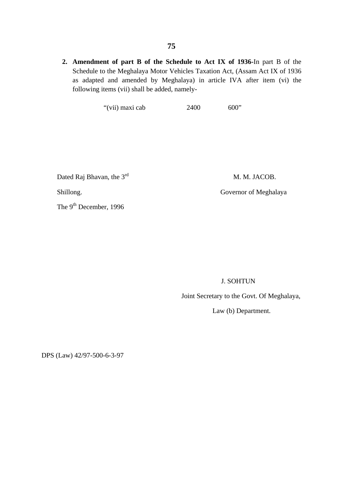**2. Amendment of part B of the Schedule to Act IX of 1936-**In part B of the Schedule to the Meghalaya Motor Vehicles Taxation Act, (Assam Act IX of 1936 as adapted and amended by Meghalaya) in article IVA after item (vi) the following items (vii) shall be added, namely-

"(vii) maxi cab  $2400$  600"

Dated Raj Bhavan, the 3<sup>rd</sup> M. M. JACOB.

Shillong. Governor of Meghalaya

The 9<sup>th</sup> December, 1996

J. SOHTUN

Joint Secretary to the Govt. Of Meghalaya,

Law (b) Department.

DPS (Law) 42/97-500-6-3-97